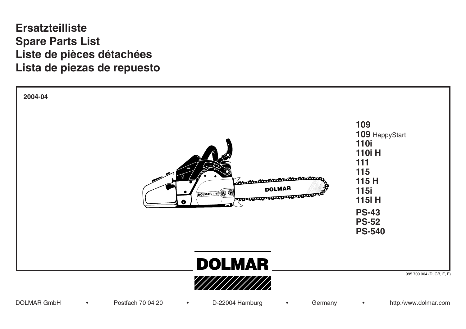## **109, 109** HappyStart **110i, 110i H Ersatzteilliste Spare Parts List Liste de pièces détachées Lista de piezas de repuesto**

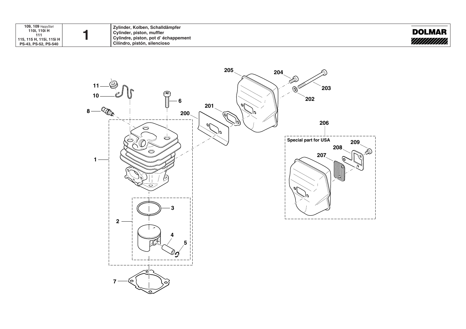| 109, 109 HappyStart<br>110i, 110i H<br>111<br><sup>1</sup> 115, 115 H, 115i, 115i H<br>PS-43, PS-52, PS-540 |  | Zvlinder, Kolben, Schalldämpfer<br>Cylinder, piston, muffler<br>Cylindre, piston, pot d'échappement<br>Cilíndro, pistón, silencioso | <b>DOLMAR</b> |  |
|-------------------------------------------------------------------------------------------------------------|--|-------------------------------------------------------------------------------------------------------------------------------------|---------------|--|
|-------------------------------------------------------------------------------------------------------------|--|-------------------------------------------------------------------------------------------------------------------------------------|---------------|--|

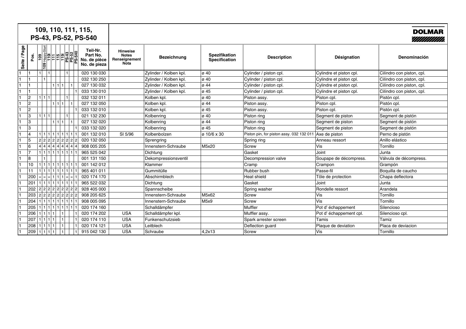| 109, 110, 111, 115,<br>PS-43, PS-52, PS-540                                                             |                                                                 |                        |                                |                                          |                         | <b>DOLMAR</b><br>///////////// |
|---------------------------------------------------------------------------------------------------------|-----------------------------------------------------------------|------------------------|--------------------------------|------------------------------------------|-------------------------|--------------------------------|
| Page<br>Teil-Nr.<br>Part No.<br>Pos.<br> ္ည<br>Seite /<br>No. de pièce<br>No. de pieza<br>$\frac{8}{2}$ | <b>Hinweise</b><br><b>Notes</b><br>Renseignement<br><b>Nota</b> | <b>Bezeichnung</b>     | Spezifikation<br>Specification | <b>Description</b>                       | Désignation             | Denominación                   |
| 020 130 030<br>11<br>۱1                                                                                 |                                                                 | Zylinder / Kolben kpl. | $\sigma$ 40                    | Cylinder / piston cpl.                   | Cylindre et piston cpl. | Cilíndro con piston, cpl.      |
| 11<br>032 130 250                                                                                       |                                                                 | Zylinder / Kolben kpl. | $\sigma$ 40                    | Cylinder / piston cpl.                   | Cylindre et piston cpl. | Cilíndro con piston, cpl.      |
| 027 130 032<br>11<br>1 1 1                                                                              |                                                                 | Zylinder / Kolben kpl. | $ $ ø 44                       | Cylinder / piston cpl.                   | Cylindre et piston cpl. | Cilíndro con piston, cpl.      |
| 11<br>033 130 010                                                                                       |                                                                 | Zylinder / Kolben kpl. | ø 45                           | Cylinder / piston cpl.                   | Cylindre et piston cpl. | Cilíndro con piston, cpl.      |
| 2<br>1 1 1<br>032 132 011                                                                               |                                                                 | Kolben kpl.            | ø 40                           | Piston assy.                             | Piston cpl.             | Pistón cpl.                    |
| 2<br>1 1 1 <br>027 132 050                                                                              |                                                                 | Kolben kpl.            | lø 44                          | Piston assy.                             | Piston cpl.             | Pistón cpl.                    |
| 2<br>033 132 010                                                                                        |                                                                 | Kolben kpl.            | lø 45                          | Piston assy.                             | Piston cpl.             | Pistón cpl.                    |
| 3<br>1111<br>021 132 230                                                                                |                                                                 | Kolbenring             | ø 40                           | Piston ring                              | Segment de piston       | Segment de pistón              |
| 3<br>1   1   1<br>027 132 020                                                                           |                                                                 | Kolbenring             | lø 44                          | Piston ring                              | Segment de piston       | Segment de pistón              |
| 3<br>033 132 020                                                                                        |                                                                 | Kolbenring             | ø 45                           | Piston ring                              | Segment de piston       | Segment de pistón              |
| 14<br>1 1 1 1 1 1 1 1 1 <br>001 132 010                                                                 | SI 5/96                                                         | Kolbenbolzen           | ø 10/6 x 30                    | Piston pin, for piston assy. 032 132 011 | Axe de piston           | Perno de pistón                |
| 5<br>2 2 2 2 2 2 2 2 2<br>020 132 050                                                                   |                                                                 | Sprengring             |                                | Spring ring                              | Anneau ressort          | Anillo elástico                |
| 16<br>4 4 4 4 4 4 4 4 4<br>908 005 205                                                                  |                                                                 | Innenstern-Schraube    | M5x20                          | Screw                                    | Vis:                    | Tornillo                       |
| 17<br>$1   1   1   1   1   1   1   1   1   1$<br>965 525 042                                            |                                                                 | Dichtung               |                                | Gasket                                   | Joint                   | Junta                          |
| 8<br>001 131 150                                                                                        |                                                                 | Dekompressionsventil   |                                | Decompression valve                      | Soupape de décompress.  | Válvula de décompress.         |
| 10<br>$1   1   1   1   1   1   1   1   1   1$<br>001 142 012                                            |                                                                 | Klammer                |                                | Cramp                                    | Crampon                 | Grampón                        |
| $1   1   1   1   1   1   1   1   1   1$<br>11<br>965 401 011                                            |                                                                 | Gummitülle             |                                | Rubber bush                              | Passe-fil               | Boquilla de caucho             |
| 200<br>020 174 170                                                                                      |                                                                 | Abschirmblech          |                                | Heat shield                              | Tôle de protection      | Chapa deflectora               |
| 201<br>1111111111111111<br>965 522 032                                                                  |                                                                 | <b>Dichtung</b>        |                                | <b>Gasket</b>                            | Joint                   | Junta                          |
| 202<br>2 2 2 2 2 2 2 2 2<br>928 405 000                                                                 |                                                                 | Spannscheibe           |                                | Spring washer                            | Rondelle ressort        | Arandela                       |
| 203<br>2 2 2 2 2 2 2 2 2<br>908 205 625                                                                 |                                                                 | Innenstern-Schraube    | M5x62                          | Screw                                    | Vis                     | Tornillo                       |
| 204<br>908 005 095                                                                                      |                                                                 | Innenstern-Schraube    | M5x9                           | Screw                                    | Vis                     | Tornillo                       |
| 205<br>$1   1   1   1   1   1   1   1   1   1$<br>020 174 160                                           |                                                                 | Schalldämpfer          |                                | Muffler                                  | Pot d'échappement       | Silencioso                     |
| 206<br>1 1 1 1 <br>020 174 202                                                                          | <b>USA</b>                                                      | Schalldämpfer kpl.     |                                | Muffler assy.                            | Pot d'échappement cpl.  | Silencioso cpl.                |
| 207<br>020 174 110<br>1 1 1 1 1 1                                                                       | <b>USA</b>                                                      | Funkenschutzsieb       |                                | Spark arrester screen                    | Tamis                   | Tamiz                          |
| 208<br>1 1 1 1 1 1<br>020 174 121                                                                       | <b>USA</b>                                                      | Leitblech              |                                | Deflection guard                         | Plaque de deviation     | Placa de deviacion             |
| 209<br>111111<br>915 042 130                                                                            | <b>USA</b>                                                      | Schraube               | 4,2x13                         | Screw                                    | ∣Vis                    | Tornillo                       |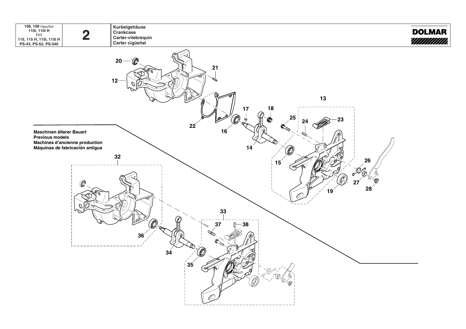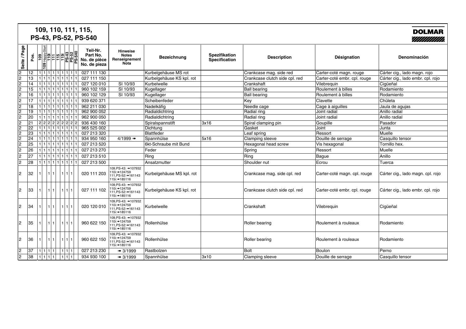|                |                 |                |                 |       |                                                    | 109, 110, 111, 115,<br>PS-43, PS-52, PS-540          |                                                                                |                           |                                |                                |                              | <b>DOLMAR</b><br>////////////     |
|----------------|-----------------|----------------|-----------------|-------|----------------------------------------------------|------------------------------------------------------|--------------------------------------------------------------------------------|---------------------------|--------------------------------|--------------------------------|------------------------------|-----------------------------------|
| Seite / Page   | Pos.            | $\frac{10}{9}$ | $\frac{8}{100}$ |       | Happys<br>1115<br>115<br>11543<br>25-540<br>20-540 | Teil-Nr.<br>Part No.<br>No. de pièce<br>No. de pieza | <b>Hinweise</b><br><b>Notes</b><br>Renseignement<br>Nota                       | <b>Bezeichnung</b>        | Spezifikation<br>Specification | <b>Description</b>             | Désignation                  | <b>Denominación</b>               |
| $\overline{2}$ | 12              |                |                 |       | 1 1 1 1 1 1 1 1 1                                  | 027 111 130                                          |                                                                                | Kurbelgehäuse MS rot      |                                | Crankcase mag. side red        | Carter-coté magn. rouge      | Cárter cig., lado magn. rojo      |
| $\overline{2}$ | 13              |                |                 |       | 1 1 1 1 1 1 1 1 1 1 1                              | 027 111 150                                          |                                                                                | Kurbelgehäuse KS kpl. rot |                                | Crankcase clutch side cpl. red | Carter-coté embr. cpl. rouge | Cárter cig., lado embr. cpl. rojo |
| $\overline{2}$ | 14              |                |                 |       | 1 1 1 1 1 1 1 11 1                                 | 027 120 010                                          | SI 10/93                                                                       | Kurbelwelle               |                                | Crankshaft                     | Vilebreguin                  | Ciqüeñal                          |
| $\overline{2}$ | 15              |                |                 |       | 1 1 1 1 1 1 1 11 1                                 | 960 102 159                                          | SI 10/93                                                                       | Kugellager                |                                | <b>Ball bearing</b>            | Roulement à billes           | Rodamiento                        |
| $\overline{2}$ | 16              |                |                 |       | 111111111111111                                    | 960 102 129                                          | SI 10/93                                                                       | Kugellager                |                                | <b>Ball bearing</b>            | Roulement à billes           | Rodamiento                        |
| $\overline{2}$ | 17              |                |                 |       | 11111111111111111                                  | 939 620 371                                          |                                                                                | Scheibenfeder             |                                | Key                            | Clavette                     | Chületa                           |
| 2              | 18              |                |                 |       | 1 1 1 1 1 1 1 1 1                                  | 962 211 030                                          |                                                                                | Nadelkäfig                |                                | Needle cage                    | Cage à aiguilles             | Jaula de agujas                   |
|                | 19              |                |                 |       | 1 1 1 1 1 1 1 1                                    | 962 900 052                                          |                                                                                | Radialdichtring           |                                | Radial ring                    | Joint radial                 | Anillo radial                     |
| $\frac{2}{2}$  | 20              |                |                 |       | 1111111111111111                                   | 962 900 050                                          |                                                                                | Radialdichtring           |                                | Radial ring                    | Joint radial                 | Anillo radial                     |
| $\overline{2}$ | 21              |                |                 |       | 2 2 2 2 2 2 2 2 2                                  | 936 430 160                                          |                                                                                | Spiralspannstift          | 3x16                           | Spiral clamping pin            | Goupille                     | Pasador                           |
| 2              | $\overline{22}$ |                |                 |       | 1 1 1 1 1 1 1 1                                    | 965 525 002                                          |                                                                                | Dichtuna                  |                                | Gasket                         | Joint                        | Junta                             |
| $\frac{2}{2}$  | 23              |                |                 |       | 1 1 1 1 1 1 1 1                                    | 027 213 320                                          |                                                                                | Blattfeder                |                                | Leaf spring                    | Ressort                      | <b>Muelle</b>                     |
|                | $\overline{24}$ |                |                 |       | 111111111111111                                    | 934 950 160                                          | $4/1999$ $\rightarrow$                                                         | Spannhülse                | 5x16                           | Clamping sleeve                | Douille de serrage           | Casquillo tensor                  |
| $\sqrt{2}$     | 25              |                |                 |       |                                                    | 027 213 520                                          |                                                                                | 6kt-Schraube mit Bund     |                                | Hexagonal head screw           | Vis hexagonal                | Tornillo hex.                     |
| 2              | 26              |                |                 |       | 1 1 1 1 1 1 1 1                                    | 027 213 270                                          |                                                                                | Feder                     |                                | Spring                         | Ressort                      | Muelle                            |
| $\overline{2}$ | $\overline{27}$ |                |                 |       | 1 1 1 1 1 1 1 1 1                                  | 027 213 510                                          |                                                                                | Ring                      |                                | Ring                           | Bague                        | Anillo                            |
| $\overline{2}$ | 28              |                |                 |       | 1 1 1 1 1 1 1 1 1 1 1                              | 027 213 500                                          |                                                                                | Ansatzmutter              |                                | Shoulder nut                   | Ecrou                        | Tuerca                            |
| 2              | 32              |                |                 | 1 1   | 11111                                              | 020 111 203                                          | 109.PS-43: ➡107932<br>110i: +124759<br>111, PS-52: + 161143<br>115i: 185116    | Kurbelgehäuse MS kpl. rot |                                | Crankcase mag. side cpl. red   | Carter-coté magn. cpl. rouge | Cárter cig., lado magn. cpl. rojo |
| 2              | 33              |                |                 | 1   1 | 11111                                              | 027 111 102                                          | 109, PS-43: = 107932<br>110i: +124759<br>111, PS-52: + 161143<br>115i: 185116  | Kurbelgehäuse KS kpl. rot |                                | Crankcase clutch side cpl. red | Carter-coté embr. cpl. rouge | Cárter cig., lado embr. cpl. rojo |
| 2              | 34              |                |                 |       |                                                    | 020 120 010                                          | 109, PS-43: = 107932<br>110i: +124759<br>111.PS-52:=+161143<br>115i: 185116    | Kurbelwelle               |                                | Crankshaft                     | Vilebrequin                  | Cigüeñal                          |
| 12             | 35              |                |                 |       | 1111                                               | 960 622 150                                          | 109, PS-43: = 107932<br>110i: +124759<br>111, PS-52: + 161143<br>115i: +185116 | Rollenhülse               |                                | Roller bearing                 | Roulement à rouleaux         | Rodamiento                        |
| 2              | 36              |                |                 |       | 11111                                              | 960 622 150                                          | 109.PS-43: = 107932<br>110i: +124759<br>111.PS-52:=+161143<br>115i: 185116     | Rollenhülse               |                                | Roller bearing                 | Roulement à rouleaux         | Rodamiento                        |
| 2              | 37              |                | 1 1 1 1         |       | 1 1 1                                              | 027 213 230                                          | ➡ 3/1999                                                                       | Rastbolzen                |                                | <b>Bolt</b>                    | <b>Boulon</b>                | Perno                             |
| $\overline{2}$ | 38              |                | 1 1 1 1         |       | 11111                                              | 934 930 100                                          | ➡ 3/1999                                                                       | Spannhülse                | 3x10                           | Clamping sleeve                | Douille de serrage           | Casquillo tensor                  |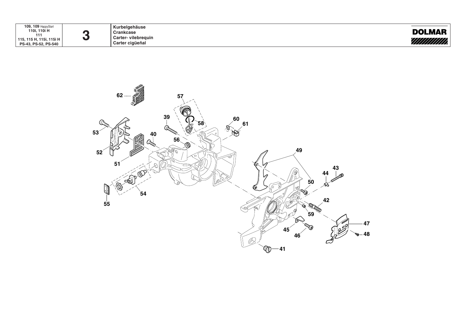| 109, 109 HappyStart<br>, 110i H<br>110i<br>111<br><sup>1</sup> 115, 115 H, 115i, 115i H<br>PS-43, PS-52, PS-540 |
|-----------------------------------------------------------------------------------------------------------------|
|-----------------------------------------------------------------------------------------------------------------|

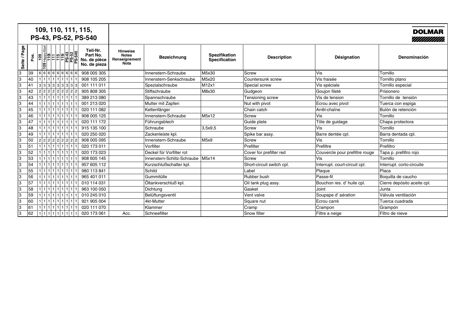|                 |      | 109, 110, 111, 115,<br>PS-43, PS-52, PS-540                                                                                                                                                                                                                                                                                                                                                                        |                                                      |                                                          |                                     |                                |                           |                                | <b>DOLMAR</b><br>//////////// |
|-----------------|------|--------------------------------------------------------------------------------------------------------------------------------------------------------------------------------------------------------------------------------------------------------------------------------------------------------------------------------------------------------------------------------------------------------------------|------------------------------------------------------|----------------------------------------------------------|-------------------------------------|--------------------------------|---------------------------|--------------------------------|-------------------------------|
| Page<br>Seite / | Pos. | $\begin{array}{ c c c c c c c c } \hline \text{19} & \text{19} & \text{19} & \text{19} & \text{19} \\ \hline \text{19} & \text{19} & \text{19} & \text{19} & \text{19} & \text{19} \\ \hline \text{19} & \text{19} & \text{19} & \text{19} & \text{19} & \text{19} \\ \hline \text{19} & \text{19} & \text{19} & \text{19} & \text{19} & \text{19} \\ \hline \text{19} & \text{19} & \text{19} &$<br>$\frac{8}{2}$ | Teil-Nr.<br>Part No.<br>No. de pièce<br>No. de pieza | <b>Hinweise</b><br><b>Notes</b><br>Renseignement<br>Nota | <b>Bezeichnung</b>                  | Spezifikation<br>Specification | <b>Description</b>        | Désignation                    | Denominación                  |
| 3               | 39   | 6 6 6 6 6 6 6 66                                                                                                                                                                                                                                                                                                                                                                                                   | 908 005 305                                          |                                                          | Innenstern-Schraube                 | M5x30                          | <b>Screw</b>              | Vis                            | Tornillo                      |
| 3               | 40   | $1   1   1   1   1   1   1   1   1   1$                                                                                                                                                                                                                                                                                                                                                                            | 908 105 205                                          |                                                          | Innenstern-Senkschraube             | M5x20                          | Countersunk screw         | Vis fraisée                    | Tornillo plano                |
| 3               | 41   | 3 3 3 3 3 3 3 3 3                                                                                                                                                                                                                                                                                                                                                                                                  | 001 111 011                                          |                                                          | Spezialschraube                     | M12x1                          | Special screw             | Vis spéciale                   | Tornillo especial             |
| 3               | 42   | 2 2 2 2 2 2 2 2 2                                                                                                                                                                                                                                                                                                                                                                                                  | 905 808 305                                          |                                                          | Stiftschraube                       | M8x30                          | Gudgeon                   | Goujon fileté                  | Prisionero                    |
| 3               | 43   | 111111111111111111                                                                                                                                                                                                                                                                                                                                                                                                 | 389 213 080                                          |                                                          | Spannschraube                       |                                | Tensioning screw          | Vis de tension                 | Tornillo de tensión           |
| 3               | 44   |                                                                                                                                                                                                                                                                                                                                                                                                                    | 001 213 020                                          |                                                          | Mutter mit Zapfen                   |                                | Nut with pivot            | Ecrou avec pivot               | Tuerca con espiga             |
| 3               | 45   | 11111111111111111                                                                                                                                                                                                                                                                                                                                                                                                  | 020 111 082                                          |                                                          | Kettenfänger                        |                                | Chain catch               | Arrêt-chaîne                   | Bulón de retención            |
| 3               | 46   | 111111111111                                                                                                                                                                                                                                                                                                                                                                                                       | 908 005 125                                          |                                                          | Innenstern-Schraube                 | M5x12                          | <b>Screw</b>              | Vis                            | Tornillo                      |
| Iз              | 47   | $1   1   1   1   1   1   1   1   1   1   1$                                                                                                                                                                                                                                                                                                                                                                        | 020 111 172                                          |                                                          | Führungsblech                       |                                | Guide plate               | Tôle de guidage                | Chapa protectora              |
| 3               | 48   | 1 1 1 1 1 1 1 1 1 1 1                                                                                                                                                                                                                                                                                                                                                                                              | 915 135 100                                          |                                                          | Schraube                            | 3.5x9.5                        | Screw                     | Vis                            | Tornillo                      |
| 3               | 49   | 1 1 1 1 1 1 1 1 1 1 1 1                                                                                                                                                                                                                                                                                                                                                                                            | 020 250 020                                          |                                                          | Zackenleiste kpl.                   |                                | Spike bar assy.           | Barre dentée cpl.              | Barra dentada cpl.            |
| 3               | 50   | 2 2 2 2 2 2 2 2 2                                                                                                                                                                                                                                                                                                                                                                                                  | 908 005 095                                          |                                                          | Innenstern-Schraube                 | M5x9                           | Screw                     | Vis                            | Tornillo                      |
| 3               | 51   | $1   1   1   1   1   1   1   1   1   1$                                                                                                                                                                                                                                                                                                                                                                            | 020 173 011                                          |                                                          | Vorfilter                           |                                | Prefilter                 | Prefiltre                      | Prefiltro                     |
| 3               | 52   | 11111111111111111                                                                                                                                                                                                                                                                                                                                                                                                  | 020 173 023                                          |                                                          | Deckel für Vorfilter rot            |                                | Cover for prefilter red   | Couvercle pour prefiltre rouge | Tapa p. prefiltro rojo        |
| 3               | 53   | 1111111111111111                                                                                                                                                                                                                                                                                                                                                                                                   | 908 605 145                                          |                                                          | Innenstern-Schlitz-Schraube   M5x14 |                                | <b>Screw</b>              | Vis                            | Tornillo                      |
| 3               | 54   | 11111111111111111                                                                                                                                                                                                                                                                                                                                                                                                  | 957 605 112                                          |                                                          | Kurzschlußschalter kpl.             |                                | Short-circuit switch cpl. | Interrupt. court-circuit cpl.  | Interrupt. corto-circuite     |
| 3               | 55   | 1111111111111111                                                                                                                                                                                                                                                                                                                                                                                                   | 980 113 841                                          |                                                          | Schild                              |                                | Label                     | Plaque                         | Placa                         |
| 3               | 56   | 111111111111111                                                                                                                                                                                                                                                                                                                                                                                                    | 965 401 011                                          |                                                          | Gummitülle                          |                                | Rubber bush               | Passe-fil                      | Boquilla de caucho            |
| 3               | 57   | 1 1 1 1 1 1 1 1 1 1                                                                                                                                                                                                                                                                                                                                                                                                | 010 114 031                                          |                                                          | Öltankverschluß kpl.                |                                | Oil tank plug assy.       | Bouchon res. d' huile cpl.     | Cierre depósito aceite cpl.   |
| 3               | 58   | 1111111111111111                                                                                                                                                                                                                                                                                                                                                                                                   | 963 100 050                                          |                                                          | Dichtung                            |                                | Gasket                    | Joint                          | Junta                         |
| 3               | 59   | 1111111111111111                                                                                                                                                                                                                                                                                                                                                                                                   | 010 245 010                                          |                                                          | Belüftungsventil                    |                                | Vent valve                | Soupape d'aération             | Válvula ventilación           |
| 3               | 60   | $1   1   1   1   1   1   1   1   1   1   1$                                                                                                                                                                                                                                                                                                                                                                        | 921 905 004                                          |                                                          | 4kt-Mutter                          |                                | Square nut                | Ecrou carré                    | Tuerca cuadrada               |
| 3               | 61   | 1111111111111111                                                                                                                                                                                                                                                                                                                                                                                                   | 020 111 070                                          |                                                          | Klammer                             |                                | Cramp                     | Crampon                        | Grampón                       |
| 3               | 62   | 1 1 1 1 1 1 1 1 1                                                                                                                                                                                                                                                                                                                                                                                                  | 020 173 061                                          | Acc.                                                     | Schneefilter                        |                                | Snow filter               | Filtre a neige                 | Filtro de nieve               |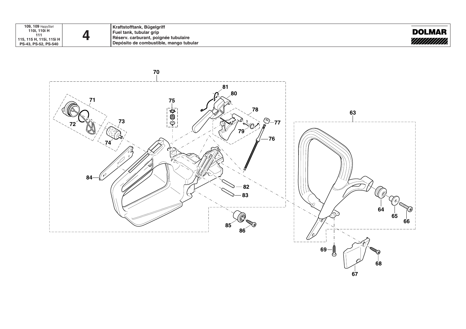

**Kraftstofftank, Bügelgriff Fuel tank, tubular grip Réserv. carburant, poignée tubulaire Depósito de combustible, mango tubular**



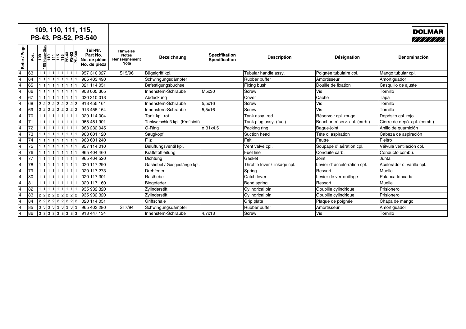|                 |      | 109, 110, 111, 115,<br>PS-43, PS-52, PS-540                                                                                                                                                                                                                                                                                                                                                                                                     |                                                      |                                                                 |                                 |                                |                               |                              | <b>DOLMAR</b><br>//////////// |
|-----------------|------|-------------------------------------------------------------------------------------------------------------------------------------------------------------------------------------------------------------------------------------------------------------------------------------------------------------------------------------------------------------------------------------------------------------------------------------------------|------------------------------------------------------|-----------------------------------------------------------------|---------------------------------|--------------------------------|-------------------------------|------------------------------|-------------------------------|
| Page<br>Seite / | Pos. | $\begin{array}{ c c c c c c c c } \hline \multicolumn{1}{ c }{\text{log}}\multicolumn{1}{ c }{\text{log}}\multicolumn{1}{ c }{\text{log}}\multicolumn{1}{ c }{\text{log}}\multicolumn{1}{ c }{\text{log}}\multicolumn{1}{ c }{\text{log}}\multicolumn{1}{ c }{\text{log}}\multicolumn{1}{ c }{\text{log}}\multicolumn{1}{ c }{\text{log}}\multicolumn{1}{ c }{\text{log}}\multicolumn{1}{ c }{\text{log}}\multicolumn{1}{ c }{\text{log}}\mult$ | Teil-Nr.<br>Part No.<br>No. de pièce<br>No. de pieza | <b>Hinweise</b><br><b>Notes</b><br>Renseignement<br><b>Nota</b> | Bezeichnung                     | Spezifikation<br>Specification | <b>Description</b>            | Désignation                  | Denominación                  |
| $\overline{4}$  | 63   | 11111111111111111                                                                                                                                                                                                                                                                                                                                                                                                                               | 957 310 027                                          | SI 5/96                                                         | Bügelgriff kpl.                 |                                | Tubular handle assy.          | Poignée tubulaire cpl.       | Mango tubular cpl.            |
| 4               | 64   | 1 1 1 1 1 1 1 1 1 1 1 1                                                                                                                                                                                                                                                                                                                                                                                                                         | 965 403 490                                          |                                                                 | Schwingungsdämpfer              |                                | Rubber buffer                 | Amortisseur                  | Amortiguador                  |
| 4               | 65   | 1111111111111111                                                                                                                                                                                                                                                                                                                                                                                                                                | 021 114 051                                          |                                                                 | Befestigungsbuchse              |                                | Fixing bush                   | Douille de fixation          | Casquillo de ajuste           |
| 4               | 66   | 1 1 1 1 1 1 1 1 1 1 1 1                                                                                                                                                                                                                                                                                                                                                                                                                         | 908 005 305                                          |                                                                 | Innenstern-Schraube             | M5x30                          | <b>Screw</b>                  | Vis                          | Tornillo                      |
| 4               | 67   | 1 1 1 1 1 1 1 1 1 1 1 1                                                                                                                                                                                                                                                                                                                                                                                                                         | 020 310 013                                          |                                                                 | Abdeckung                       |                                | Cover                         | Cache                        | Tapa                          |
| 4               | 68   | 2 2 2 2 2 2 2 2 2                                                                                                                                                                                                                                                                                                                                                                                                                               | 913 455 164                                          |                                                                 | Innenstern-Schraube             | 5,5x16                         | <b>Screw</b>                  | Vis                          | Tornillo                      |
| 4               | 69   | 2 2 2 2 2 2 2 2 2                                                                                                                                                                                                                                                                                                                                                                                                                               | 913 455 164                                          |                                                                 | Innenstern-Schraube             | 5,5x16                         | <b>Screw</b>                  | Vis                          | Tornillo                      |
| 4               | 70   | 1111111111111111                                                                                                                                                                                                                                                                                                                                                                                                                                | 020 114 004                                          |                                                                 | Tank kpl. rot                   |                                | Tank assy. red                | Réservoir cpl. rouge         | Depósito cpl. rojo            |
| 4               | 71   | 1111111111111                                                                                                                                                                                                                                                                                                                                                                                                                                   | 965 451 901                                          |                                                                 | Tankverschluß kpl. (Kraftstoff) |                                | Tank plug assy. (fuel)        | Bouchon rèserv. cpl. (carb.) | Cierre de depó. cpl. (comb.)  |
| 4               | 72   | 1111111111111111                                                                                                                                                                                                                                                                                                                                                                                                                                | 963 232 045                                          |                                                                 | $O$ -Ring                       | ø 31x4.5                       | Packing ring                  | Bague-joint                  | Anillo de guarnición          |
| 4               | 73   | 1111111111111111                                                                                                                                                                                                                                                                                                                                                                                                                                | 963 601 120                                          |                                                                 | Saugkopf                        |                                | Suction head                  | Tête d' aspiration           | Cabeza de aspiración          |
| 4               | 74   | 1   1   1   1   1   1   1   1                                                                                                                                                                                                                                                                                                                                                                                                                   | 963 601 240                                          |                                                                 | Filz                            |                                | Felt                          | Feutre                       | Fieltro                       |
| 4               | 75   | $1   1   1   1   1   1   1   1   1  $                                                                                                                                                                                                                                                                                                                                                                                                           | 957 114 010                                          |                                                                 | Belüftungsventil kpl.           |                                | Vent valve cpl.               | Soupape d'aération cpl.      | Válvula ventilación cpl.      |
| 4               | 76   | 1 1 1 1 1 1 1 1 1 1 1 1                                                                                                                                                                                                                                                                                                                                                                                                                         | 965 404 460                                          |                                                                 | Kraftstoffleitung               |                                | Fuel line                     | Conduite carb.               | Conducto combu.               |
| 4               | 77   | 1   1   1   1   1   1   1   1                                                                                                                                                                                                                                                                                                                                                                                                                   | 965 404 520                                          |                                                                 | Dichtung                        |                                | Gasket                        | Joint                        | Junta                         |
| 4               | 78   | 1111111111111                                                                                                                                                                                                                                                                                                                                                                                                                                   | 020 117 290                                          |                                                                 | Gashebel / Gasgestänge kpl.     |                                | Throttle lever / linkage cpl. | Levier d'accélérration cpl.  | Acelerador c. varilla cpl.    |
| 4               | 79   | 1111111111111111                                                                                                                                                                                                                                                                                                                                                                                                                                | 020 117 273                                          |                                                                 | <b>Drehfeder</b>                |                                | Spring                        | Ressort                      | Muelle                        |
| 4               | 80   | 1   1   1   1   1   1   1                                                                                                                                                                                                                                                                                                                                                                                                                       | 020 117 301                                          |                                                                 | Rasthebel                       |                                | Catch lever                   | Levier de verrouillage       | Palanca trincada              |
| 4               | 81   | 1111111111111111                                                                                                                                                                                                                                                                                                                                                                                                                                | 020 117 160                                          |                                                                 | Biegefeder                      |                                | Bend spring                   | Ressort                      | Muelle                        |
| 4               | 82   | 1 1 1 1 1 1 1 1 1 1 1                                                                                                                                                                                                                                                                                                                                                                                                                           | 935 932 320                                          |                                                                 | Zylinderstift                   |                                | Cylindrical pin               | Goupille cylindrique         | Prisionero                    |
| 4               | 83   | 2 2 2 2 2 2 2 2 2                                                                                                                                                                                                                                                                                                                                                                                                                               | 935 932 320                                          |                                                                 | Zylinderstift                   |                                | Cylindrical pin               | Goupille cylindrique         | Prisionero                    |
| 4               | 84   | 222222222                                                                                                                                                                                                                                                                                                                                                                                                                                       | 020 114 051                                          |                                                                 | Griffschale                     |                                | Grip plate                    | Plaque de poignée            | Chapa de mango                |
| 4               | 85   | 3 3 3 3 3 3 3 3 3                                                                                                                                                                                                                                                                                                                                                                                                                               | 965 403 280                                          | SI 7/94                                                         | Schwingungsdämpfer              |                                | Rubber buffer                 | Amortisseur                  | Amortiguador                  |
| 4               | 86   | 3 3 3 3 3 3 3 3 3                                                                                                                                                                                                                                                                                                                                                                                                                               | 913 447 134                                          |                                                                 | Innenstern-Schraube             | 4,7x13                         | <b>Screw</b>                  | Vis                          | Tornillo                      |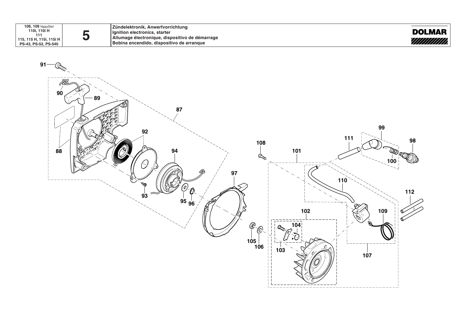| <b>109, 109 HappyStart</b> |
|----------------------------|
| 110i, 110i H               |
| 111                        |
| 115, 115 H, 115i, 115i H   |
| PS-43, PS-52, PS-540       |

**Zündelektronik, Anwerfvorrichtung Ignition electronics, starter Allumage électronique, dispositivo de démarrage Bobina encendido, dispositivo de arranque**



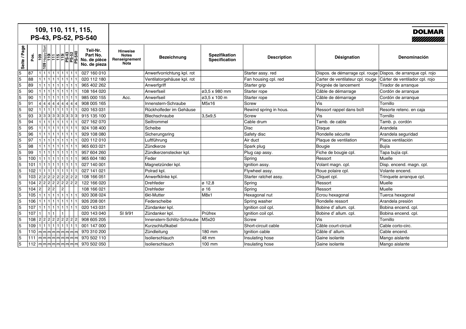|                 |      | 109, 110, 111, 115,<br>PS-43, PS-52, PS-540                                                                                                                                                      |                                                      |                                                          |                                   |                                |                        |                                                               | <b>DOLMAR</b>                  |
|-----------------|------|--------------------------------------------------------------------------------------------------------------------------------------------------------------------------------------------------|------------------------------------------------------|----------------------------------------------------------|-----------------------------------|--------------------------------|------------------------|---------------------------------------------------------------|--------------------------------|
| / Page<br>Seite | Pos. | $\frac{1}{100}$ $\frac{1}{100}$ $\frac{1}{100}$ $\frac{1}{100}$ $\frac{1}{100}$ $\frac{1}{100}$ $\frac{1}{100}$ $\frac{1}{100}$ $\frac{1}{100}$ $\frac{1}{100}$<br>$\frac{8}{100}$<br><b>801</b> | Teil-Nr.<br>Part No.<br>No. de pièce<br>No. de pieza | <b>Hinweise</b><br><b>Notes</b><br>Renseignement<br>Nota | <b>Bezeichnung</b>                | Spezifikation<br>Specification | <b>Description</b>     | Désignation                                                   | Denominación                   |
| 5               | 87   | 1 1 1 1 1 1 1 1 1                                                                                                                                                                                | 027 160 010                                          |                                                          | Anwerfvorrichtung kpl. rot        |                                | Starter assy. red      | Dispos. de démarrage cpl. rouge Dispos. de arranque cpl. rojo |                                |
| $\sqrt{5}$      | 88   | 111111111111                                                                                                                                                                                     | 020 112 180                                          |                                                          | Ventilatorgehäuse kpl. rot        |                                | Fan housing cpl. red   | Carter de ventilateur cpl. rouge                              | Cárter de ventilador cpl. rojo |
| $\overline{5}$  | 89   | 1 1 1 1 1 1 1 1 1                                                                                                                                                                                | 965 402 262                                          |                                                          | Anwerfgriff                       |                                | Starter grip           | Poignée de lancement                                          | Tirador de arranque            |
| $\overline{5}$  | 90   | 111111111111                                                                                                                                                                                     | 108 164 020                                          |                                                          | Anwerfseil                        | ø3,5 x 980 mm                  | Starter rope           | Câble de démarrage                                            | Cordón de arranque             |
| $\overline{5}$  | 90   | 111111111111                                                                                                                                                                                     | 985 000 155                                          | Acc.                                                     | Anwerfseil                        | ø3.5 x 100 m                   | Starter rope           | Câble de démarrage                                            | Cordón de arranque             |
| $\overline{5}$  | 91   | 4 4 4 4 4 4 4 4                                                                                                                                                                                  | 908 005 165                                          |                                                          | Innenstern-Schraube               | M5x16                          | Screw                  | Vis                                                           | Tornillo                       |
| $\sqrt{5}$      | 92   | 1 1 1 1 1 1 1 1 1 1 1                                                                                                                                                                            | 020 163 031                                          |                                                          | Rückholfeder im Gehäuse           |                                | Rewind spring in hous. | Ressort rappel dans boît                                      | Resorte retenc. en caja        |
| $\sqrt{5}$      | 93   | 33333333                                                                                                                                                                                         | 915 135 100                                          |                                                          | Blechschraube                     | 3,5x9,5                        | <b>Screw</b>           | Vis                                                           | Tornillo                       |
| $\sqrt{5}$      | 94   | 1 1 1 1 1 1 1 1 1 1 1                                                                                                                                                                            | 027 162 070                                          |                                                          | Seiltrommel                       |                                | Cable drum             | Tamb, de cable                                                | Tamb. p. cordón                |
| $\sqrt{5}$      | 95   | 1 1 1 1 1 1 1 1                                                                                                                                                                                  | 924 108 400                                          |                                                          | Scheibe                           |                                | Disc                   | Disque                                                        | Arandela                       |
| $\sqrt{5}$      | 96   | 1 1 1 1 1 1 1 1 1                                                                                                                                                                                | 929 108 080                                          |                                                          | Sicherungsring                    |                                | Safety disc            | Rondelle sécurite                                             | Arandela seguridad             |
| 5               | 97   | 1 1 1 1 1 1 1 1 1                                                                                                                                                                                | 020 112 010                                          |                                                          | Luftführung                       |                                | Air duct               | Plaque de ventilation                                         | Placa ventilación              |
| $\sqrt{5}$      | 98   | 1 1 1 1 1 1 1 1                                                                                                                                                                                  | 965 603 021                                          |                                                          | Zündkerze                         |                                | Spark plug             | Bougie                                                        | Bujía                          |
| 5               | 99   | 1 1 1 1 1 1 1 1 1                                                                                                                                                                                | 957 604 260                                          |                                                          | Zündkerzenstecker kpl.            |                                | Plug cap assy.         | Fiche de bougie cpl.                                          | Tapa bujía cpl.                |
| $\overline{5}$  | 100  | 1 1 1 1 1 1 1 1                                                                                                                                                                                  | 965 604 180                                          |                                                          | Feder                             |                                | Spring                 | Ressort                                                       | Muelle                         |
| $\sqrt{5}$      | 101  | 11111111111111                                                                                                                                                                                   | 027 140 001                                          |                                                          | Magnetzünder kpl.                 |                                | Ignition assy.         | Volant magn. cpl.                                             | Disp. encend. magn. cpl.       |
| 5               | 102  | 11111111111111                                                                                                                                                                                   | 027 141 021                                          |                                                          | Polrad kpl.                       |                                | Flywheel assy.         | Roue polaire cpl.                                             | Volante encend.                |
| $\overline{5}$  | 103  | 22222222                                                                                                                                                                                         | 108 166 051                                          |                                                          | Anwerfklinke kpl.                 |                                | Starter ratchet assy.  | Cliquet cpl.                                                  | Trinquete arranque cpl.        |
| 5               | 104  | 2 2 2 2 2 2 2 2                                                                                                                                                                                  | 122 166 020                                          |                                                          | Drehfeder                         | ø 12.8                         | Spring                 | Ressort                                                       | Muelle                         |
| $\overline{5}$  | 104  | 2 <br> 2 2 <br> 2                                                                                                                                                                                | 108 166 021                                          |                                                          | <b>Drehfeder</b>                  | ø 16                           | Spring                 | Ressort                                                       | Muelle                         |
| 5               | 105  | 11111111111111                                                                                                                                                                                   | 920 308 024                                          |                                                          | 6kt-Mutter                        | M8x1                           | Hexagonal nut          | Ecrou hexagonal                                               | Tuerca hexagonal               |
| $\overline{5}$  | 106  | 11111111111111                                                                                                                                                                                   | 926 208 001                                          |                                                          | Federscheibe                      |                                | Spring washer          | Rondelle ressort                                              | Arandela presión               |
| 5               | 107  | 11111111111111                                                                                                                                                                                   | 020 143 031                                          |                                                          | Zündanker kpl.                    |                                | Ignition coil cpl.     | Bobine d' allum. cpl.                                         | Bobina encend. cpl.            |
| 5               | 107  |                                                                                                                                                                                                  | 020 143 040                                          | SI 9/91                                                  | Zündanker kpl.                    | Prüfrex                        | Ignition coil cpl.     | Bobine d' allum. cpl.                                         | Bobina encend. cpl.            |
| $\sqrt{5}$      | 108  | $\sqrt{2 2 2 2 2 2 2 2 }$                                                                                                                                                                        | 908 605 205                                          |                                                          | Innenstern-Schlitz-Schraube M5x20 |                                | <b>Screw</b>           | <b>Vis</b>                                                    | Tornillo                       |
| 5               | 109  | 111111111111111                                                                                                                                                                                  | 001 147 000                                          |                                                          | Kurzschlußkabel                   |                                | Short-circuit cable    | Câble court-circuit                                           | Cable corto-circ.              |
| 5               | 110  | m m m m m m m m m                                                                                                                                                                                | 970 310 200                                          |                                                          | Zündleitung                       | 180 mm                         | Ignition cable         | Câble d' allum.                                               | Cable encend.                  |
| 5               | 111  | m m m m m m m m                                                                                                                                                                                  | 970 502 110                                          |                                                          | Isolierschlauch                   | 48 mm                          | Insulating hose        | Gaine isolante                                                | Mango aislante                 |
| $\overline{5}$  |      | $\lfloor 112 \rfloor$ m $\lfloor$ m $\lfloor$ m $\lfloor$ m $\lfloor$ m $\lfloor$ m $\lfloor$ m $\lfloor$ m $\lfloor$ m $\rfloor$                                                                | 970 502 050                                          |                                                          | Isolierschlauch                   | 100 mm                         | Insulating hose        | Gaine isolante                                                | Mango aislante                 |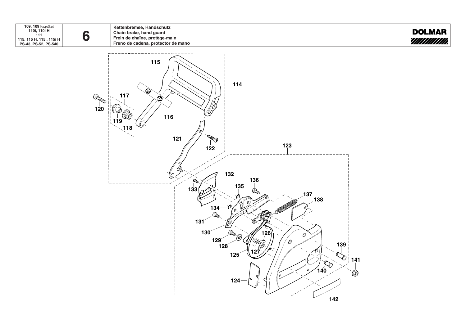**109, 109** HappyStart **110i, 110i H 111 115, 115 H, 115i, 115i H PS-43, PS-52, PS-540**

**6**

**Kettenbremse, Handschutz Chain brake, hand guard Frein de chaîne, protège-main Freno de cadena, protector de mano**



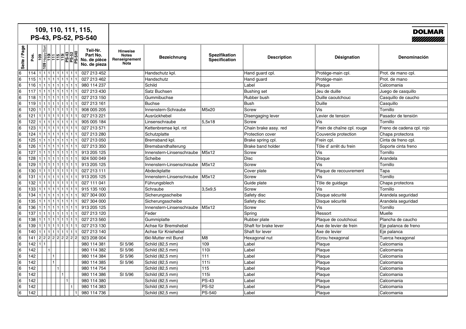| 109, 110, 111, 115,<br>PS-43, PS-52, PS-540 |                  |                                                     |              |                                                      |                                                          |                                   |                                |                          |                            | <b>DOLMAR</b><br>7///////////// |
|---------------------------------------------|------------------|-----------------------------------------------------|--------------|------------------------------------------------------|----------------------------------------------------------|-----------------------------------|--------------------------------|--------------------------|----------------------------|---------------------------------|
| Seite / Page                                | pos.             | <u>Happe 10</u><br>THE FRANCE<br>$\frac{1}{2}$<br>의 | န္ဖြု        | Teil-Nr.<br>Part No.<br>No. de pièce<br>No. de pieza | <b>Hinweise</b><br><b>Notes</b><br>Renseignement<br>Nota | Bezeichnung                       | Spezifikation<br>Specification | <b>Description</b>       | Désignation                | Denominación                    |
| 6                                           | 114              | 1 1 1 1 1 1 1 1 1                                   |              | 027 213 452                                          |                                                          | Handschutz kpl.                   |                                | Hand guard cpl.          | Protège-main cpl.          | Prot. de mano cpl.              |
| 6                                           | 115              | 1 1 1 1 1 1 1 1                                     |              | 027 213 462                                          |                                                          | Handschutz                        |                                | Hand guard               | Protège-main               | Prot. de mano                   |
| 6                                           | 116              | 1 1 1 1 1 1 1 1                                     |              | 980 114 237                                          |                                                          | Schild                            |                                | Label                    | Plaque                     | Calcomania                      |
| 6                                           | 117              | 111111111111                                        |              | 027 213 430                                          |                                                          | Satz Buchsen                      |                                | <b>Bushing set</b>       | Jeu de duille              | Juego de casquillo              |
| 6                                           | 118              | 1 1 1 1 1 1 1 1                                     |              | 027 213 150                                          |                                                          | Gummibuchse                       |                                | Rubber bush              | Duille caoutchouc          | Casquillo de caucho             |
| 6                                           | 119              | 11111111111111                                      |              | 027 213 161                                          |                                                          | <b>Buchse</b>                     |                                | <b>Bush</b>              | Duille                     | Casquillo                       |
| 6                                           | 120              | 11111111111111                                      |              | 908 005 205                                          |                                                          | Innenstern-Schraube               | M5x20                          | Screw                    | Vis                        | Tornillo                        |
| 6                                           | 121              | 1 1 1 1 1 1 1 1                                     |              | 027 213 221                                          |                                                          | Ausrückhebel                      |                                | Disengaging lever        | Levier de tension          | Pasador de tensión              |
| 6                                           | 122              | 111111111111111                                     |              | 905 005 184                                          |                                                          | Linsenschraube                    | 5,5x18                         | Screw                    | Vis                        | Tornillo                        |
| 6                                           | 123              | 111111111111111                                     |              | 027 213 571                                          |                                                          | Kettenbremse kpl. rot             |                                | Chain brake assy. red    | Frein de chaîne cpl. rouge | Freno de cadena cpl. rojo       |
| 6                                           | 124              | 11111111111                                         |              | 027 213 280                                          |                                                          | Schutzplatte                      |                                | <b>Protection cover</b>  | Couvercle protection       | Chapa protectora                |
| l6                                          | 125              | 11111111111111                                      |              | 027 213 050                                          |                                                          | Bremsband kpl.                    |                                | Brake spring cpl.        | Frein cpl.                 | Cinta de freno cpl.             |
| 6                                           | 126              |                                                     |              | 027 213 350                                          |                                                          | Bremsbandhalterung                |                                | <b>Brake band holder</b> | Tôle d' arrêt du frein     | Soporte cinta freno             |
| 6                                           | 127              | 1 1 1 1 1 1 1                                       |              | 913 205 125                                          |                                                          | Innenstern-Linsenschraube         | M5x12                          | <b>Screw</b>             | Vis                        | Tornillo                        |
| l6                                          | 128              | 1 1 1 1 1 1 1 1                                     |              | 924 500 049                                          |                                                          | Scheibe                           |                                | <b>Disc</b>              | Disque                     | Arandela                        |
| 6                                           | 129              |                                                     |              | 913 205 125                                          |                                                          | Innenstern-Linsenschraube   M5x12 |                                | <b>Screw</b>             | Vis                        | Tornillo                        |
| 6                                           | $\overline{130}$ | 1 1 1 1 1 1 1 1                                     |              | 027 213 111                                          |                                                          | Abdeckplatte                      |                                | Cover plate              | Plaque de recouvrement     | Tapa                            |
| 6                                           | 131              | 111111111111                                        |              | 913 205 125                                          |                                                          | Innenstern-Linsenschraube   M5x12 |                                | <b>Screw</b>             | Vis                        | Tornillo                        |
| 6                                           | 132              | 111111111111111                                     |              | 027 111 041                                          |                                                          | Führungsblech                     |                                | Guide plate              | Tôle de guidage            | Chapa protectora                |
| 6                                           | 133              | 1 1 1 1 1 1 1 1                                     |              | 915 135 100                                          |                                                          | Schraube                          | 3,5x9,5                        | <b>Screw</b>             | Vis                        | Tornillo                        |
| 6                                           | 134              | 111111111111111                                     |              | 927 304 000                                          |                                                          | Sicherungsscheibe                 |                                | Safety disc              | Disque sécurité            | Arandela seguridad              |
| 6                                           | 135              | 111111111111                                        |              | 927 304 000                                          |                                                          | Sicherungsscheibe                 |                                | Safety disc              | Disque sécurité            | Arandela seguridad              |
| 6                                           | 136              | 1 1 1 1 1 1 1 1                                     |              | 913 205 125                                          |                                                          | Innenstern-Linsenschraube         | M5x12                          | Screw                    | Vis                        | Tornillo                        |
| 6                                           | 137              | 1 1 1 1 1 1 1 1                                     |              | 027 213 120                                          |                                                          | Feder                             |                                | Spring                   | Ressort                    | Muelle                          |
| 6                                           | 138              | 11111111111111                                      |              | 027 213 560                                          |                                                          | Gummiplatte                       |                                | Rubber plate             | Plaque de coutchouc        | Plancha de caucho               |
| 6                                           | 139              | 1 1 1 1 1 1 1 1                                     |              | 027 213 130                                          |                                                          | Achse für Bremshebel              |                                | Shaft for brake lever    | Axe de levier de frein     | Eje palanca de freno            |
| 6                                           | 140              | 1111111111111                                       |              | 027 213 140                                          |                                                          | Achse für Kniehebel               |                                | Shaft for lever          | Axe de levier              | Eje palanca                     |
| 6                                           | 141              | 2222222                                             |              | 923 208 004                                          |                                                          | 6kt-Mutter mit Bund               | M <sub>8</sub>                 | Hexagonal nut            | Ecrou hexagonal            | Tuerca hexagonal                |
| 6                                           | 142              |                                                     |              | 980 114 381                                          | SI 5/96                                                  | Schild (82,5 mm)                  | 109                            | Label                    | Plaque                     | Calcomania                      |
| 6                                           | 142              |                                                     |              | 980 114 382                                          | SI 5/96                                                  | Schild (82,5 mm)                  | 110i                           | Label                    | Plaque                     | Calcomania                      |
| 6                                           | 142              | 1                                                   |              | 980 114 384                                          | SI 5/96                                                  | Schild (82,5 mm)                  | 111                            | Label                    | Plaque                     | Calcomania                      |
| 6                                           | $\overline{142}$ | $\blacksquare$                                      |              | 980 114 385                                          | SI 5/96                                                  | Schild (82,5 mm)                  | 111i                           | Label                    | Plaque                     | Calcomania                      |
| 6                                           | $\overline{142}$ | $\mathbf{1}$                                        |              | 980 114 754                                          |                                                          | Schild (82,5 mm)                  | $\overline{115}$               | Label                    | Plaque                     | Calcomania                      |
| 6                                           | 142              |                                                     |              | 980 114 386                                          | SI 5/96                                                  | Schild (82,5 mm)                  | 115i                           | Label                    | Plaque                     | Calcomania                      |
| 6                                           | 142              |                                                     |              | 980 114 380                                          |                                                          | Schild (82,5 mm)                  | <b>PS-43</b>                   | Label                    | Plaque                     | Calcomania                      |
| 6                                           | 142              |                                                     | $\mathbf{1}$ | 980 114 383                                          |                                                          | Schild (82,5 mm)                  | <b>PS-52</b>                   | Label                    | Plaque                     | Calcomania                      |
| 6                                           | 142              |                                                     |              | 980 114 736                                          |                                                          | Schild (82,5 mm)                  | <b>PS-540</b>                  | Label                    | Plaque                     | Calcomania                      |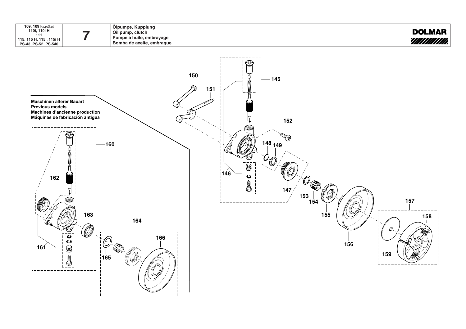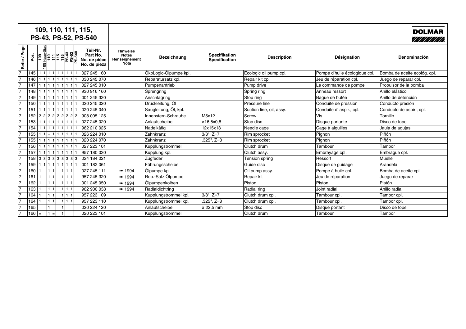|                 |      | 109, 110, 111, 115,<br>PS-43, PS-52, PS-540 |                                                      |                                                          |                       |                                       |                          |                              | <b>DOLMAR</b><br>//////////// |
|-----------------|------|---------------------------------------------|------------------------------------------------------|----------------------------------------------------------|-----------------------|---------------------------------------|--------------------------|------------------------------|-------------------------------|
| Page<br>Seite / | Pos. | ၅                                           | Teil-Nr.<br>Part No.<br>No. de pièce<br>No. de pieza | <b>Hinweise</b><br><b>Notes</b><br>Renseignement<br>Nota | <b>Bezeichnung</b>    | <b>Spezifikation</b><br>Specification | <b>Description</b>       | Désignation                  | <b>Denominación</b>           |
| $\overline{7}$  | 145  | 11111111111111                              | 027 245 160                                          |                                                          | ÖkoLogic-Ölpumpe kpl. |                                       | Ecologic oil pump cpl.   | Pompe d'huile écologique cpl | Bomba de aceite ecológ. cpl.  |
| $\overline{7}$  | 146  | 1 1 1 1 1 1 1 1 1                           | 030 245 070                                          |                                                          | Reparatursatz kpl.    |                                       | Repair kit cpl.          | Jeu de réparation cpl.       | Juego de reparar cpl.         |
| $\overline{7}$  | 147  | 11111111111111                              | 027 245 010                                          |                                                          | Pumpenantrieb         |                                       | Pump drive               | Le commande de pompe         | Propulsor de la bomba         |
| $\overline{7}$  | 148  | 1111111111111111                            | 930 916 160                                          |                                                          | Sprengring            |                                       | Spring ring              | Anneau ressort               | Anillo elástico               |
| $\overline{7}$  | 149  | 111111111111111                             | 001 245 320                                          |                                                          | Anschlagring          |                                       | Stop ring                | Baque de butée               | Anillo de detención           |
| 17              | 150  | 1 1 1 1 1 1 1 1                             | 020 245 020                                          |                                                          | Druckleitung, Öl      |                                       | Pressure line            | Conduite de pression         | Conducto presión              |
| 17              | 151  | 111111111111111                             | 020 245 040                                          |                                                          | Saugleitung, Öl, kpl. |                                       | Suction line, oil, assy. | Conduite d' aspir., cpl.     | Conducto de aspir., cpl.      |
| $\overline{7}$  | 152  | 22222222                                    | 908 005 125                                          |                                                          | Innenstern-Schraube   | M5x12                                 | Screw                    | ∣Vis                         | Tornillo                      |
| 17              | 153  | 11111111111111                              | 027 245 020                                          |                                                          | Anlaufscheibe         | ø16,5x0,8                             | Stop disc                | Disque portante              | Disco de tope                 |
| $\overline{7}$  | 154  | 1111111111111111                            | 962 210 025                                          |                                                          | Nadelkäfig            | 12x15x13                              | Needle cage              | Cage à aiguilles             | Jaula de agujas               |
| $\overline{7}$  | 155  | $1 1 $ = $1 1 1 1 1 1 $                     | 026 224 010                                          |                                                          | Zahnkranz             | $3/8"$ , $Z=7$                        | Rim sprocket             | Pignon                       | Piñón                         |
| 17              | 155  | 11111111111111                              | 020 224 070                                          |                                                          | Zahnkranz             | $.325$ ", $Z=8$                       | Rim sprocket             | Pignon                       | Piñón                         |
| 17              | 156  | 111111111111111                             | 027 223 101                                          |                                                          | Kupplungstrommel      |                                       | Clutch drum              | Tambour                      | Tambor                        |
| $\overline{7}$  | 157  | $1   1   1   1   1   1   1   1   1$         | 957 180 030                                          |                                                          | Kupplung kpl.         |                                       | Clutch assy.             | Embrayage cpl.               | Embrague cpl.                 |
| $\overline{7}$  | 158  | 3333333333                                  | 024 184 021                                          |                                                          | Zugfeder              |                                       | Tension spring           | Ressort                      | Muelle                        |
| $\overline{7}$  | 159  | 111111111111111                             | 001 182 061                                          |                                                          | Führungsscheibe       |                                       | Guide disc               | Disque de quidage            | Arandela                      |
| 17              | 160  | 11111<br>111                                | 027 245 111                                          | ■ 1994                                                   | Ölpumpe kpl.          |                                       | Oil pump assy.           | Pompe à huile cpl.           | Bomba de aceite cpl.          |
| 17              | 161  | 111<br>1111                                 | 957 245 320                                          | ■ 1994                                                   | Rep.-Satz Ölpumpe     |                                       | Repair kit               | Jeu de réparation            | Juego de reparar              |
| $\overline{7}$  | 162  | 1 1 <br>11111'                              | 001 245 050                                          | ■ 1994                                                   | Ölpumpenkolben        |                                       | Piston                   | Piston                       | Pistón                        |
| $\overline{7}$  | 163  | l 1   1                                     | 962 900 038                                          | ■ 1994                                                   | Radialdichtring       |                                       | Radial ring              | Joint radial                 | Anillo radial                 |
| $\overline{7}$  | 164  | 111<br>1111                                 | 957 223 109                                          |                                                          | Kupplungstrommel kpl. | $3/8$ ", $Z=7$                        | Clutch drum cpl.         | Tambour cpl.                 | Tambor cpl.                   |
| $\overline{7}$  | 164  | 111<br>11111                                | 957 223 110                                          |                                                          | Kupplungstrommel kpl. | $.325$ ", $Z=8$                       | Clutch drum cpl.         | Tambour cpl.                 | Tambor cpl.                   |
| $\overline{7}$  | 165  |                                             | 020 224 120                                          |                                                          | Anlaufscheibe         | ø 22,5 mm                             | Stop disc                | Disque portant               | Disco de tope                 |
| $\overline{7}$  | 166  | $1 =$<br>$=$                                | 020 223 101                                          |                                                          | Kupplungstrommel      |                                       | Clutch drum              | Tambour                      | Tambor                        |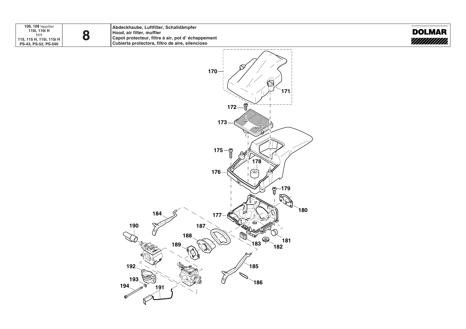

**Abdeckhaube, Luftfilter, Schalldämpfer Hood, air filter, muffler Capot protecteur, filtre à air, pot d' échappement Cubierta protectora, filtro de aire, silencioso**



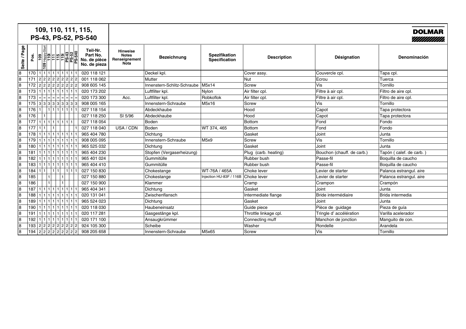|                |      | 109, 110, 111, 115,<br>PS-43, PS-52, PS-540                                                                                                                                                                                                                                                                                                        |                                                      |                                                                 |                             |                                |                       |                            | <b>DOLMAR</b><br>//////////// |
|----------------|------|----------------------------------------------------------------------------------------------------------------------------------------------------------------------------------------------------------------------------------------------------------------------------------------------------------------------------------------------------|------------------------------------------------------|-----------------------------------------------------------------|-----------------------------|--------------------------------|-----------------------|----------------------------|-------------------------------|
| Page<br>Seite  | Pos. | $\frac{\left \mathbf{g}\right _{\mathbf{g}\mathbf{g}}^{\mathbf{g}\mathbf{g}}}{\left \mathbf{g}\right _{\mathbf{g}}^{\mathbf{g}}\left \mathbf{g}\right _{\mathbf{g}}^{\mathbf{g}}\left \mathbf{g}\right _{\mathbf{g}}^{\mathbf{g}}\left \mathbf{g}\right _{\mathbf{g}}^{\mathbf{g}}\left \mathbf{g}\right _{\mathbf{g}}^{\mathbf{g}}$<br><b>SQ1</b> | Teil-Nr.<br>Part No.<br>No. de pièce<br>No. de pieza | <b>Hinweise</b><br><b>Notes</b><br>Renseignement<br><b>Nota</b> | <b>Bezeichnung</b>          | Spezifikation<br>Specification | <b>Description</b>    | Désignation                | Denominación                  |
| $\overline{8}$ | 170  | 11111111111111                                                                                                                                                                                                                                                                                                                                     | 020 118 121                                          |                                                                 | Deckel kpl.                 |                                | Cover assy.           | Couvercle cpl.             | Tapa cpl.                     |
| $\overline{8}$ | 171  | 2222222                                                                                                                                                                                                                                                                                                                                            | 001 118 062                                          |                                                                 | Mutter                      |                                | Nut                   | Ecrou                      | Tuerca                        |
| 8              | 172  | 22222222                                                                                                                                                                                                                                                                                                                                           | 908 605 145                                          |                                                                 | Innenstern-Schlitz-Schraube | M5x14                          | Screw                 | Vis                        | Tornillo                      |
| $\overline{8}$ | 173  | 1111111111111111                                                                                                                                                                                                                                                                                                                                   | 020 173 202                                          |                                                                 | Luftfilter kpl.             | Nylon                          | Air filter cpl.       | Filtre à air cpl.          | Filtro de aire cpl.           |
| $\overline{8}$ | 173  | - - - - - - - - - -                                                                                                                                                                                                                                                                                                                                | 020 173 300                                          | Acc.                                                            | Luftfilter kpl.             | Robkoflok                      | Air filter cpl.       | Filtre à air cpl.          | Filtro de aire cpl.           |
| $\overline{8}$ | 175  | 3   3   3   3   3   3   3   3                                                                                                                                                                                                                                                                                                                      | 908 005 165                                          |                                                                 | Innenstern-Schraube         | M5x16                          | Screw                 | Vis                        | Tornillo                      |
| $\sqrt{8}$     | 176  |                                                                                                                                                                                                                                                                                                                                                    | 027 118 154                                          |                                                                 | Abdeckhaube                 |                                | Hood                  | Capot                      | Tapa protectora               |
| 8              | 176  |                                                                                                                                                                                                                                                                                                                                                    | 027 118 250                                          | SI 5/96                                                         | Abdeckhaube                 |                                | Hood                  | Capot                      | Tapa protectora               |
| 8              | 177  | 11111111111111                                                                                                                                                                                                                                                                                                                                     | 027 118 054                                          |                                                                 | Boden                       |                                | Bottom                | Fond                       | Fondo                         |
| $\sqrt{8}$     | 177  |                                                                                                                                                                                                                                                                                                                                                    | 027 118 040                                          | USA / CDN                                                       | Boden                       | WT 374, 465                    | <b>Bottom</b>         | Fond                       | Fondo                         |
| $\sqrt{8}$     | 178  | 1 1 1 1 1 1 1 1 1                                                                                                                                                                                                                                                                                                                                  | 965 404 780                                          |                                                                 | Dichtung                    |                                | Gasket                | Joint                      | Junta                         |
| $\sqrt{8}$     | 179  | 1111111111111111                                                                                                                                                                                                                                                                                                                                   | 908 005 095                                          |                                                                 | Innenstern-Schraube         | M5x9                           | Screw                 | Vis                        | Tornillo                      |
| $\sqrt{8}$     | 180  | 111111111111111                                                                                                                                                                                                                                                                                                                                    | 965 525 032                                          |                                                                 | Dichtung                    |                                | Gasket                | Joint                      | Junta                         |
| 8              | 181  | 11111111111111                                                                                                                                                                                                                                                                                                                                     | 965 404 230                                          |                                                                 | Stopfen (Vergaserheizung)   |                                | Plug (carb. heating)  | Bouchon (chauff. de carb.) | Tapón (calef. de carb.)       |
| $\overline{8}$ | 182  | 111111111111111                                                                                                                                                                                                                                                                                                                                    | 965 401 024                                          |                                                                 | Gummitülle                  |                                | Rubber bush           | Passe-fil                  | Boquilla de caucho            |
| $\sqrt{8}$     | 183  | 1111111111111111                                                                                                                                                                                                                                                                                                                                   | 965 404 410                                          |                                                                 | Gummitülle                  |                                | Rubber bush           | Passe-fil                  | Boquilla de caucho            |
| $\overline{8}$ | 184  | 1111<br>l 1.                                                                                                                                                                                                                                                                                                                                       | 027 150 830                                          |                                                                 | Chokestange                 | WT-76A / 465A                  | Choke lever           | Levier de starter          | Palanca estrangul. aire       |
| $\overline{8}$ | 185  |                                                                                                                                                                                                                                                                                                                                                    | 027 150 880                                          |                                                                 | Chokestange                 | Injection HU-83F / 116B        | Choke lever           | Levier de starter          | Palanca estrangul. aire       |
| $\sqrt{8}$     | 186  |                                                                                                                                                                                                                                                                                                                                                    | 027 150 900                                          |                                                                 | Klammer                     |                                | Cramp                 | Crampon                    | Crampón                       |
| $\sqrt{8}$     | 187  |                                                                                                                                                                                                                                                                                                                                                    | 965 404 341                                          |                                                                 | Dichtung                    |                                | Gasket                | Joint                      | <b>Junta</b>                  |
| $\sqrt{8}$     | 188  | 11111111111111                                                                                                                                                                                                                                                                                                                                     | 020 131 041                                          |                                                                 | Zwischenflansch             |                                | Intermediate flange   | Bride intermédiaire        | Brida intermedia              |
| $\overline{8}$ | 189  | 1111111111111111                                                                                                                                                                                                                                                                                                                                   | 965 524 023                                          |                                                                 | Dichtung                    |                                | Gasket                | Joint                      | Junta                         |
| $\overline{8}$ | 190  |                                                                                                                                                                                                                                                                                                                                                    | 020 118 030                                          |                                                                 | Haubeneinsatz               |                                | Guide piece           | Pièce de guidage           | Pieza de quía                 |
| $\overline{8}$ | 191  | 1 1 1 1 1 1 1 1 1                                                                                                                                                                                                                                                                                                                                  | 020 117 281                                          |                                                                 | Gasgestänge kpl.            |                                | Throttle linkage cpl. | Tringle d' accélération    | Varilla acelerador            |
| $\sqrt{8}$     | 192  | 11111111111                                                                                                                                                                                                                                                                                                                                        | 020 171 100                                          |                                                                 | Ansaugkrümmer               |                                | Connecting muff       | Manchon de jonction        | Manguito de con.              |
| $\sqrt{8}$     | 193  | 22222222                                                                                                                                                                                                                                                                                                                                           | 924 105 300                                          |                                                                 | Scheibe                     |                                | Washer                | Rondelle                   | Arandela                      |
| 8              | 194  | 222222222                                                                                                                                                                                                                                                                                                                                          | 908 205 658                                          |                                                                 | Innenstern-Schraube         | M5x65                          | Screw                 | Vis                        | Tornillo                      |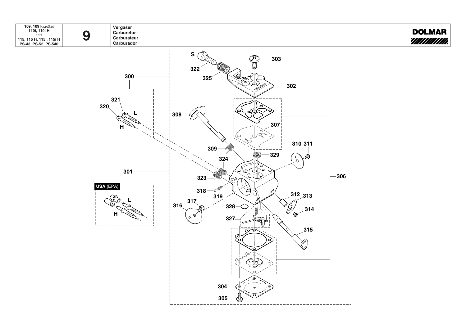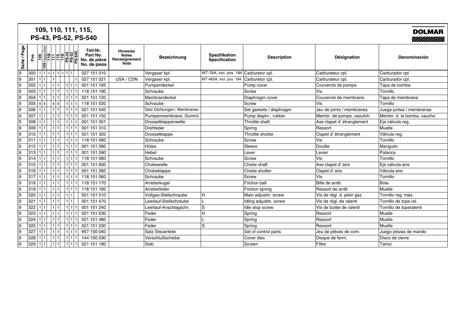|              |      | 109, 110, 111, 115,<br>PS-43, PS-52, PS-540 |                                                      |                                                                 |                             |                                        |                         |                           | <b>DOLMAR</b><br>////////////// |
|--------------|------|---------------------------------------------|------------------------------------------------------|-----------------------------------------------------------------|-----------------------------|----------------------------------------|-------------------------|---------------------------|---------------------------------|
| Seite / Page | pos. |                                             | Teil-Nr.<br>Part No.<br>No. de pièce<br>No. de pieza | <b>Hinweise</b><br><b>Notes</b><br>Renseignement<br><b>Nota</b> | <b>Bezeichnung</b>          | Spezifikation<br>Specification         | <b>Description</b>      | <b>Désignation</b>        | Denominación                    |
| 9            | 300  | $111 = 111 = 111$                           | 027 151 010                                          |                                                                 | Vergaser kpl.               | WT-76A, incl. pos. 184 Carburetor cpl. |                         | Carburateur cpl.          | Carburador cpl.                 |
| 19           | 301  |                                             | 027 151 021                                          | USA / CDN                                                       | Vergaser kpl.               | WT-465A, incl. pos. 184                | Carburetor cpl.         | Carburateur cpl.          | Carburador cpl.                 |
| 9            | 302  | 111<br>111                                  | 001 151 165                                          |                                                                 | Pumpendeckel                |                                        | Pump cover              | Couvercle de pompe        | Tapa de bomba                   |
| 9            | 303  | 1 1 <br>l 1                                 | 118 151 190                                          |                                                                 | Schraube                    |                                        | <b>Screw</b>            | Vis                       | Tornillo                        |
| 9            | 304  | l 1<br>1 1                                  | 021 151 120                                          |                                                                 | Membrandeckel               |                                        | Diaphragm cover         | Couvercle de membrane     | Tapa de membrana                |
| 9            | 305  | 4 4<br>1 1<br>$\vert$ 4<br>$\overline{4}$   | 118 151 020                                          |                                                                 | Schraube                    |                                        | Screw                   | Vis                       | Tornillo                        |
| 9            | 306  | 111                                         | 021 151 540                                          |                                                                 | Satz Dichtungen / Membranen |                                        | Set gaskets / diaphragm | Jeu de joints / membranes | Juega juntas / membranas        |
| 9            | 307  | 111                                         | 021 151 150                                          |                                                                 | Pumpenmembrane, Gummi       |                                        | Pump diaphr., rubber    | Membr. de pompe, caoutch. | Membr. d. la bomba, caucho      |
| 9            | 308  | 111                                         | 001 151 301                                          |                                                                 | Drosselklappenwelle         |                                        | Throttle shaft          | Axe clapet d'étranglement | Eje válvula reg.                |
| 19           | 309  | 111                                         | 001 151 310                                          |                                                                 | Drehfeder                   |                                        | Spring                  | Ressort                   | Muelle                          |
| 19           | 310  | 111                                         | 021 151 320                                          |                                                                 | Drosselklappe               |                                        | Throttle shutter        | Clapet d'étranglement     | Válvula reg.                    |
| 19           | 311  | 1 1                                         | 118 151 060                                          |                                                                 | Schraube                    |                                        | <b>Screw</b>            | Vis                       | Tornillo                        |
| 19           | 312  | 111                                         | 001 151 580                                          |                                                                 | Hülse                       |                                        | Sleeve                  | Douille                   | Manguito                        |
| 19           | 313  | 111                                         | 001 151 590                                          |                                                                 | Hebel                       |                                        | Lever                   | Levier                    | Palanca                         |
| 19           | 314  | 111                                         | 118 151 060                                          |                                                                 | Schraube                    |                                        | Screw                   | Vis                       | Tornillo                        |
| 19           | 315  | 111                                         | 001 151 600                                          |                                                                 | Chokewelle                  |                                        | Choke shaft             | Axe clapet d'aire         | Eje válvula aire                |
| 19           | 316  | 1 1                                         | 001 151 260                                          |                                                                 | Chokeklappe                 |                                        | Choke shutter           | Clapet d'aire             | Válvula aire                    |
| 19           | 317  | 1 1                                         | 118 151 060                                          |                                                                 | Schraube                    |                                        | Screw                   | Vis                       | Tornillo                        |
| 19           | 318  | 1 1                                         | 118 151 170                                          |                                                                 | Arretierkugel               |                                        | <b>Friction ball</b>    | Bille de arrêt            | Bola                            |
| 19           | 319  | 1 1                                         | 118 151 160                                          |                                                                 | Arretierfeder               |                                        | Friction spring         | Ressort de arrêt          | Muelle                          |
| 19           | 320  | 1 1<br>$\mathbf{1}$                         | 001 151 510                                          |                                                                 | Vollgas-Stellschraube       | н                                      | Main adjustm. screw     | Vis de régl. d. plein gaz | Tornillo reg. máx.              |
| 19           | 321  | 1 1                                         | 001 151 470                                          |                                                                 | Leerlauf-Stellschraube      | L                                      | Idling adjustm. screw   | Vis de régl. de ralenti   | Tornillo de tope ral.           |
| 19           | 322  | 1 1                                         | 001 151 240                                          |                                                                 | Leerlauf-Anschlagschr.      | lS.                                    | Idle stop screw         | Vis de butée de ralenti   | Tornillo de toperalenti         |
| 19           | 323  | 1 1                                         | 021 151 530                                          |                                                                 | Feder                       | H                                      | Spring                  | Ressort                   | Muelle                          |
| 19           | 324  | 1 1<br>l 1                                  | 021 151 480                                          |                                                                 | Feder                       |                                        | Spring                  | Ressort                   | Muelle                          |
| 19           | 325  | l 1<br>1 1<br>l 1                           | 021 151 230                                          |                                                                 | Feder                       | ls                                     | Spring                  | Ressort                   | Muelle                          |
| 19           | 327  | 111<br>l 1<br>l 1                           | 957 150 040                                          |                                                                 | <b>Satz Steuerteile</b>     |                                        | Set of control parts    | Jeu de pièces de com.     | Juego piezas de mando           |
| 19           | 328  | 1 1<br>111                                  | 144 150 030                                          |                                                                 | Verschlußscheibe            |                                        | Cover disc              | Disque de ferm.           | Disco de cierre                 |
| 9            | 329  | 1 1 <br>1 1                                 | 021 151 180                                          |                                                                 | Sieb                        |                                        | Screen                  | Filtre                    | Tamiz                           |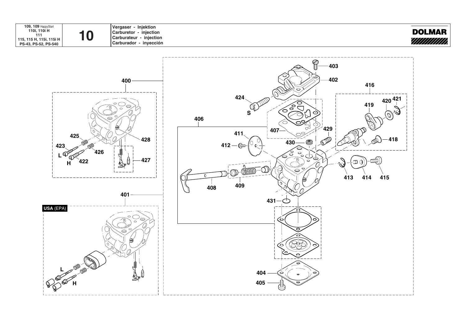

**Vergaser - Injektion Carburetor - injection Carburateur - injection Carburador - inyección**



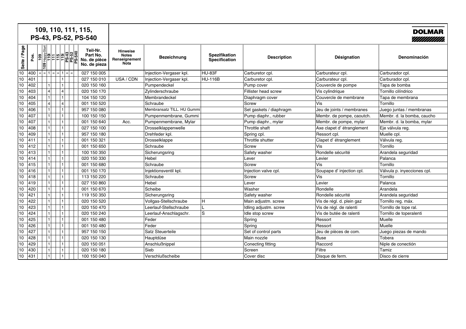|              |      |                                  | 109, 110, 111, 115,<br>PS-43, PS-52, PS-540                                  |                                                      |                                                                 |                            |                                       |                             |                           | <b>DOLMAR</b><br>//////////// |
|--------------|------|----------------------------------|------------------------------------------------------------------------------|------------------------------------------------------|-----------------------------------------------------------------|----------------------------|---------------------------------------|-----------------------------|---------------------------|-------------------------------|
| Seite / Page | Pos. | $\frac{8}{100}$<br>$\frac{1}{2}$ |                                                                              | Teil-Nr.<br>Part No.<br>No. de pièce<br>No. de pieza | <b>Hinweise</b><br><b>Notes</b><br>Renseignement<br><b>Nota</b> | <b>Bezeichnung</b>         | Spezifikation<br><b>Specification</b> | <b>Description</b>          | Désignation               | Denominación                  |
| 10           | 400  |                                  | $=$ $=$ $\mid$ 1 $\mid$ $=$ $\mid$ $=$ $\mid$ 1 $\mid$ $=$ $\mid$ $=$ $\mid$ | 027 150 005                                          |                                                                 | Injection-Vergaser kpl.    | HU-83F                                | Carburetor cpl.             | Carburateur cpl.          | Carburador cpl.               |
| 10           | 401  |                                  |                                                                              | 027 150 010                                          | USA / CDN                                                       | Injection-Vergaser kpl.    | <b>HU-116B</b>                        | Carburetor cpl.             | Carburateur cpl.          | Carburador cpl.               |
| 10           | 402  |                                  |                                                                              | 020 150 160                                          |                                                                 | Pumpendeckel               |                                       | Pump cover                  | Couvercle de pompe        | Tapa de bomba                 |
| 10           | 403  | $\overline{4}$                   | $\vert$                                                                      | 020 150 170                                          |                                                                 | Zylinderschraube           |                                       | <b>Fillister head screw</b> | Vis cylindrique           | Tornillo cilíndrico           |
| 10           | 404  |                                  | 1 <sup>1</sup>                                                               | 104 150 120                                          |                                                                 | Membrandeckel              |                                       | Diaphragm cover             | Couvercle de membrane     | Tapa de membrana              |
| 10           | 405  | $\vert$ 4                        | $\vert$                                                                      | 001 150 520                                          |                                                                 | Schraube                   |                                       | Screw                       | Vis                       | Tornillo                      |
| 10           | 406  |                                  |                                                                              | 957 150 080                                          |                                                                 | Membransatz TILL, HU Gummi |                                       | Set gaskets / diaphragm     | Jeu de joints / membranes | Juego juntas / membranas      |
| 10           | 407  |                                  |                                                                              | 100 150 150                                          |                                                                 | Pumpenmembrane, Gummi      |                                       | Pump diaphr., rubber        | Membr. de pompe, caoutch. | Membr. d. la bomba, caucho    |
| 10           | 407  |                                  |                                                                              | 001 150 640                                          | Acc.                                                            | Pumpenmembrane, Mylar      |                                       | Pump diaphr., mylar         | Membr. de pompe, mylar    | Membr. d. la bomba, mylar     |
| 10           | 408  |                                  |                                                                              | 027 150 100                                          |                                                                 | Drosselklappenwelle        |                                       | Throttle shaft              | Axe clapet d'étranglement | Eje válvula reg.              |
| 10           | 409  |                                  |                                                                              | 957 150 180                                          |                                                                 | Drehfeder kpl.             |                                       | Spring cpl.                 | Ressort cpl.              | Muelle cpl.                   |
| 10           | 411  |                                  |                                                                              | 001 150 321                                          |                                                                 | Drosselklappe              |                                       | Throttle shutter            | Clapet d'étranglement     | Válvula reg.                  |
| 10           | 412  |                                  |                                                                              | 001 150 650                                          |                                                                 | Schraube                   |                                       | Screw                       | Vis                       | Tornillo                      |
| 10           | 413  |                                  |                                                                              | 100 150 350                                          |                                                                 | Sicherungsring             |                                       | Safety washer               | Rondelle sécurité         | Arandela seguridad            |
| 10           | 414  |                                  |                                                                              | 020 150 330                                          |                                                                 | Hebel                      |                                       | Lever                       | Levier                    | Palanca                       |
| 10           | 415  |                                  |                                                                              | 001 150 680                                          |                                                                 | Schraube                   |                                       | Screw                       | Vis                       | Tornillo                      |
| 10           | 416  |                                  | 1 <sup>1</sup>                                                               | 001 150 170                                          |                                                                 | Injektionsventil kpl.      |                                       | Injection valve cpl.        | Soupape d'injection cpl.  | Válvula p. inyecciones cpl.   |
| 10           | 418  |                                  | 1 <sup>1</sup>                                                               | 113 150 220                                          |                                                                 | Schraube                   |                                       | Screw                       | Vis                       | Tornillo                      |
| 10           | 419  |                                  |                                                                              | 027 150 860                                          |                                                                 | Hebel                      |                                       | Lever                       | Levier                    | Palanca                       |
| 10           | 420  |                                  |                                                                              | 001 150 670                                          |                                                                 | Scheibe                    |                                       | Washer                      | Rondelle                  | Arandela                      |
| 10           | 421  |                                  |                                                                              | 119 150 350                                          |                                                                 | Sicherungsring             |                                       | Safety washer               | Rondelle sécurité         | Arandela seguridad            |
| 10           | 422  |                                  |                                                                              | 020 150 520                                          |                                                                 | Vollgas-Stellschraube      | н                                     | Main adjustm. screw         | Vis de régl. d. plein gaz | Tornillo reg. máx.            |
| 10           | 423  |                                  |                                                                              | 020 150 470                                          |                                                                 | Leerlauf-Stellschraube     |                                       | Idling adjustm. screw       | Vis de régl. de ralenti   | Tornillo de tope ral.         |
| 10           | 424  |                                  |                                                                              | 020 150 240                                          |                                                                 | Leerlauf-Anschlagschr.     | lS.                                   | Idle stop screw             | Vis de butée de ralenti   | Tornillo de toperalenti       |
| 10           | 425  |                                  |                                                                              | 001 150 480                                          |                                                                 | Feder                      |                                       | Spring                      | Ressort                   | Muelle                        |
| 10           | 426  |                                  |                                                                              | 001 150 480                                          |                                                                 | Feder                      |                                       | Spring                      | Ressort                   | Muelle                        |
| 10           | 427  |                                  |                                                                              | 957 150 150                                          |                                                                 | Satz Steuerteile           |                                       | Set of control parts        | Jeu de pièces de com.     | Juego piezas de mando         |
| 10           | 428  |                                  |                                                                              | 020 150 130                                          |                                                                 | Hauptdüse                  |                                       | Main nozzle                 | <b>Buse</b>               | Tobera                        |
| 10           | 429  |                                  |                                                                              | 020 150 051                                          |                                                                 | Anschlußnippel             |                                       | Conecting fitting           | Raccord                   | Niple de conectión            |
| 10           | 430  |                                  |                                                                              | 020 150 180                                          |                                                                 | Sieb                       |                                       | Screen                      | Filtre                    | Tamiz                         |
| 10           | 431  |                                  |                                                                              | 100 150 040                                          |                                                                 | Verschlußscheibe           |                                       | Cover disc                  | Disque de ferm.           | Disco de cierre               |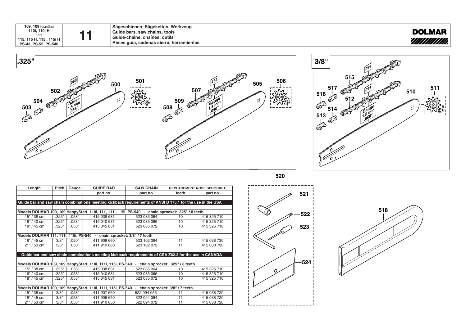**109, 109** HappyStart **110i, 110i H 111 115, 115 H, 115i, 115i H PS-43, PS-52, PS-540**

**Sägeschienen, Sägeketten, Werkzeug Guide bars, saw chains, tools Guide-bars, saw chains, tools**<br> **Guide-chaîne, chaînes, outils Rieles guía, cadenas sierra, herramientas**







| Length        | Pitch | Gauge | <b>GUIDE BAR</b>                                                                                          | <b>SAW CHAIN</b>                                            |                 | <b>REPLACEMENT NOSE SPROCKET</b> |
|---------------|-------|-------|-----------------------------------------------------------------------------------------------------------|-------------------------------------------------------------|-----------------|----------------------------------|
|               |       |       | part no.                                                                                                  | part no.                                                    | teeth           | part no.                         |
|               |       |       |                                                                                                           |                                                             |                 |                                  |
|               |       |       | Guide bar and saw chain combinations meeting kickback requirements of ANSI B 175.1 for the use in the USA |                                                             |                 |                                  |
|               |       |       |                                                                                                           |                                                             |                 |                                  |
|               |       |       | Models DOLMAR 109, 109 HappyStart, 110i, 111, 111i, 115i, PS-540 - chain sprocket: .325" / 8 teeth        |                                                             |                 |                                  |
| $15" / 38$ cm | .325" | .058" | 415 038 631                                                                                               | 523 085 064                                                 | 10              | 415 325 710                      |
| 16" / 40 cm   | .325" | .058" | 415 040 631                                                                                               | 523 085 066                                                 | 10              | 415 325 710                      |
| 18" / 45 cm   | .325" | .058" | 415 045 631                                                                                               | 523 085 072                                                 | 10 <sup>1</sup> | 415 325 710                      |
|               |       |       |                                                                                                           |                                                             |                 |                                  |
|               |       |       | Models DOLMAR 111, 111i, 115i, PS-540 - chain sprocket: 3/8" / 7 teeth                                    |                                                             |                 |                                  |
| $18" / 45$ cm | 3/8"  | .050" | 411 909 660                                                                                               | 523 102 064                                                 | 11              | 415 038 730                      |
| $21" / 53$ cm | 3/8"  | .050" | 411 910 660                                                                                               | 523 102 072                                                 | 11              | 415 038 730                      |
|               |       |       |                                                                                                           |                                                             |                 |                                  |
|               |       |       | Guide bar and saw chain combinations meeting kickback requirements of CSA Z62.3 for the use in CANADA     |                                                             |                 |                                  |
|               |       |       |                                                                                                           |                                                             |                 |                                  |
|               |       |       | Models DOLMAR 109, 109 HappyStart, 110i, 111i, 115i, PS-540                                               | chain sprocket: .325" / 8 teeth<br>$\overline{\phantom{a}}$ |                 |                                  |
| 15" / 38 cm   | .325" | .058" | 415 038 631                                                                                               | 523 085 064                                                 | 10              | 415 325 710                      |
| 16" / 40 cm   | .325" | .058" | 415 040 631                                                                                               | 523 085 066                                                 | 10              | 415 325 710                      |
| 18" / 45 cm   | .325" | .058" | 415 045 631                                                                                               | 523 085 072                                                 | 10              | 415 325 710                      |
|               |       |       |                                                                                                           |                                                             |                 |                                  |
|               |       |       | Models DOLMAR 109, 109 HappyStart, 110i, 111i, 115i, PS-540                                               | chain sprocket: 3/8" / 7 teeth<br>$\blacksquare$            |                 |                                  |
| 15" / 38 cm   | 3/8"  | .058" | 411 907 650                                                                                               | 522 094 056                                                 | 11              | 415 038 720                      |
| $18" / 45$ cm | 3/8"  | .058" | 411 909 650                                                                                               | 522 094 064                                                 | 11              | 415 038 720                      |
| 21" / 53 cm   | 3/8"  | .058" | 411 910 650                                                                                               | 522 094 072                                                 | 11              | 415 038 720                      |



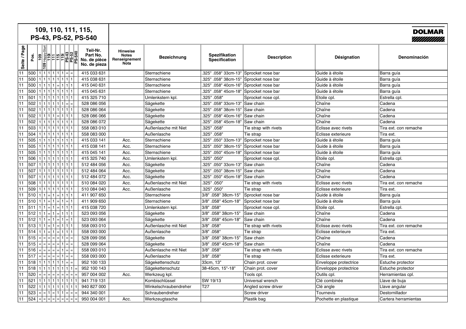| 109, 110, 111, 115,<br>PS-43, PS-52, PS-540 |      |                                   |  |  |                                                                                                                             |                                                      |                                                                 |                       |                                        |                       |                       | <b>DOLMAR</b><br>//////////// |
|---------------------------------------------|------|-----------------------------------|--|--|-----------------------------------------------------------------------------------------------------------------------------|------------------------------------------------------|-----------------------------------------------------------------|-----------------------|----------------------------------------|-----------------------|-----------------------|-------------------------------|
| Seite / Page                                | Pos. | <u>ခြ</u><br>$ \mathbf{\hat{s}} $ |  |  | Happy<br>TH - FH - R - 54<br>TH - FH - 85540<br>PS-540                                                                      | Teil-Nr.<br>Part No.<br>No. de pièce<br>No. de pieza | <b>Hinweise</b><br><b>Notes</b><br>Renseignement<br><b>Nota</b> | <b>Bezeichnung</b>    | Spezifikation<br>Specification         | <b>Description</b>    | Désignation           | Denominación                  |
| 11                                          | 500  | $1 1 1 1 1 1 1  =$                |  |  |                                                                                                                             | 415 033 631                                          |                                                                 | Sternschiene          | .325" .058" 33cm-13" Sprocket nose bar |                       | Guide à étoile        | Barra guía                    |
| 11                                          | 500  | 11111111111111111                 |  |  |                                                                                                                             | 415 038 631                                          |                                                                 | Sternschiene          | 325" .058" 38cm-15"                    | Sprocket nose bar     | Guide à étoile        | Barra guía                    |
| 11                                          | 500  | $1 1 1 1  =  1 1 1$               |  |  |                                                                                                                             | 415 040 631                                          |                                                                 | Sternschiene          | .325" .058" 40cm-16"                   | Sprocket nose bar     | Guide à étoile        | Barra guía                    |
| 11                                          | 500  | 1 1 1 1 1 1 1 1 1                 |  |  |                                                                                                                             | 415 045 631                                          |                                                                 | Sternschiene          | .325" .058" 45cm-18"                   | Sprocket nose bar     | Guide à étoile        | Barra guía                    |
| 11                                          | 501  | 1 1 1 1 1 1 1 1 1                 |  |  |                                                                                                                             | 415 325 710                                          |                                                                 | Umlenkstern kpl.      | .325" .058"                            | Sprocket nose cpl.    | Etoile cpl.           | Estrella cpl                  |
| 11                                          | 502  | $1 1 1 1 1 1 1  =$                |  |  |                                                                                                                             | 528 086 056                                          |                                                                 | Sägekette             | .325" .058" 33cm-13"                   | Saw chain             | Chaîne                | Cadena                        |
| 11                                          | 502  | 1 1 1 1 1 1 1 1                   |  |  |                                                                                                                             | 528 086 064                                          |                                                                 | Sägekette             | .325" .058" 38cm-15"                   | Saw chain             | Chaîne                | Cadena                        |
| 11                                          | 502  | $1 1 1 1 1  =  1 1 1$             |  |  |                                                                                                                             | 528 086 066                                          |                                                                 | Sägekette             | .325" .058" 40cm-16"                   | Saw chain             | Chaîne                | Cadena                        |
| 11                                          | 502  | 1 1 1 1 1 1 1 1 1                 |  |  |                                                                                                                             | 528 086 072                                          |                                                                 | Sägekette             | .325" .058" 45cm-18"                   | Saw chain             | Chaîne                | Cadena                        |
| 11                                          | 503  | 1 1 1 1 1 1 1 1                   |  |  |                                                                                                                             | 558 083 010                                          |                                                                 | Außenlasche mit Niet  | .325" .058"                            | Tie strap with rivets | Eclisse avec rivets   | Tira ext. con remache         |
| 11                                          | 504  | 1 1 1 1 1 1 1 1                   |  |  |                                                                                                                             | 558 083 000                                          |                                                                 | Außenlasche           | .325" .058"                            | Tie strap             | Eclisse exterieure    | Tira ext.                     |
| 11                                          | 505  | 1 1 1 1 1 1 1 1                   |  |  |                                                                                                                             | 415 033 141                                          | Acc.                                                            | Sternschiene          | .325" .050" 33cm-13"                   | Sprocket nose bar     | Guide à étoile        | Barra guía                    |
| 11                                          | 505  | 1 1 1 1 1 1 1 1 1                 |  |  |                                                                                                                             | 415 038 141                                          | Acc.                                                            | Sternschiene          | .325" .050" 38cm-15"                   | Sprocket nose bar     | Guide à étoile        | Barra guía                    |
| 11                                          | 505  | 1111111111111111                  |  |  |                                                                                                                             | 415 045 141                                          | Acc.                                                            | Sternschiene          | .325" .050" 45cm-18"                   | Sprocket nose bar     | Guide à étoile        | Barra guía                    |
| 11                                          | 506  | 1 1 1 1 1 1 1 1                   |  |  |                                                                                                                             | 415 325 740                                          | Acc.                                                            | Umlenkstern kpl.      | .325" .050"                            | Sprocket nose cpl.    | Etoile cpl.           | Estrella cpl                  |
| 11                                          | 507  | 1 1 1 1 1 1 1 1                   |  |  |                                                                                                                             | 512 484 056                                          | Acc.                                                            | Sägekette             | "325" .050" 33cm-13                    | Saw chain             | Chaîne                | Cadena                        |
| 11                                          | 507  | 1 1 1 1 1 1 1 1 1                 |  |  |                                                                                                                             | 512 484 064                                          | Acc.                                                            | Sägekette             | .325" .050" 38cm-15"                   | Saw chain             | Chaîne                | Cadena                        |
| 11                                          | 507  | 111111111111111                   |  |  |                                                                                                                             | 512 484 072                                          | Acc.                                                            | Sägekette             | .325" .050" 45cm-18"                   | Saw chain             | Chaîne                | Cadena                        |
| 11                                          | 508  | 1 1 1 1 1 1 1 1                   |  |  |                                                                                                                             | 510 084 020                                          | Acc.                                                            | Außenlasche mit Niet  | .325" .050"                            | Tie strap with rivets | Eclisse avec rivets   | Tira ext. con remache         |
| 11                                          | 509  | 1 1 1 1 1 1 1 1                   |  |  |                                                                                                                             | 510 084 040                                          | Acc.                                                            | Außenlasche           | .325" .050"                            | Tie strap             | Eclisse exterieure    | Tira ext.                     |
| 11                                          | 510  | $1 1 = 1 = 1 1 1 $                |  |  |                                                                                                                             | 411 907 650                                          |                                                                 | Sternschiene          | 3/8" .058" 38cm-15"                    | Sprocket nose bar     | Guide à étoile        | Barra guía                    |
| 11                                          | 510  | $1   1   =   1   =   1   =   1  $ |  |  |                                                                                                                             | 411 909 650                                          |                                                                 | Sternschiene          | 3/8" .058" 45cm-18"                    | Sprocket nose bar     | Guide à étoile        | Barra guía                    |
| 11                                          | 511  | $1 1 $ = $ 1 $ = $ 1 1 1$         |  |  |                                                                                                                             | 415 038 720                                          |                                                                 | Umlenkstern kpl.      | 3/8" .058"                             | Sprocket nose cpl.    | Etoile cpl.           | Estrella cpl                  |
| 11                                          | 512  | $1 1  =  1  =  1 1 1 $            |  |  |                                                                                                                             | 523 093 056                                          |                                                                 | Sägekette             | 3/8"<br>.058" 38cm-15"                 | Saw chain             | Chaîne                | Cadena                        |
| 11                                          | 512  | $1 1 $ = $ 1 $ = $ 1 $ = $ 1 $    |  |  |                                                                                                                             | 523 093 064                                          |                                                                 | Sägekette             | 3/8" .058" 45cm-18"                    | Saw chain             | Chaîne                | Cadena                        |
| 11                                          | 513  | $1 1  =  1  =  1 1 1$             |  |  |                                                                                                                             | 558 093 010                                          |                                                                 | Außenlasche mit Niet  | 3/8" .058"                             | Tie strap with rivets | Eclisse avec rivets   | Tira ext. con remache         |
| 11                                          | 514  | $1 1 = 1 = 1 1 1$                 |  |  |                                                                                                                             | 558 093 000                                          |                                                                 | Außenlasche           | 3/8" .058"                             | Tie strap             | Eclisse exterieure    | Tira ext.                     |
| 11                                          | 515  |                                   |  |  | $=$ $=$ $=$ $=$ $=$ $\frac{1}{2}$ $=$ $\frac{1}{2}$ $=$ $\frac{1}{2}$ $=$ $\frac{1}{2}$ $=$ $\frac{1}{2}$ $=$ $\frac{1}{2}$ | 528 099 056                                          |                                                                 | Sägekette             | 3/8" .058" 38cm-15"                    | Saw chain             | Chaîne                | Cadena                        |
| 11                                          | 515  | 리티티티티 1 리티                        |  |  |                                                                                                                             | 528 099 064                                          |                                                                 | Sägekette             | 3/8" .058" 45cm-18"                    | Saw chain             | Chaîne                | Cadena                        |
| 11                                          | 516  | =  =  =  =  =  1   =  =           |  |  |                                                                                                                             | 558 093 010                                          |                                                                 | Außenlasche mit Niet  | 3/8" .058"                             | Tie strap with rivets | Eclisse avec rivets   | Tira ext. con remache         |
| 11                                          | 517  | $=$ $  =   =   =   =   1   =   =$ |  |  |                                                                                                                             | 558 093 000                                          |                                                                 | Außenlasche           | 3/8" .058"                             | Tie strap             | Eclisse exterieure    | Tira ext.                     |
| 11                                          | 518  | $1 1 1 1 1 1 1 =$                 |  |  |                                                                                                                             | 952 100 133                                          |                                                                 | Sägekettenschutz      | 33cm, 13"                              | Chain prot. cover     | Enveloppe protectrice | Estuche protector             |
| 11                                          | 518  |                                   |  |  |                                                                                                                             | 952 100 143                                          |                                                                 | Sägekettenschutz      | 38-45cm, 15"-18"                       | Chain prot. cover     | Enveloppe protectrice | Estuche protector             |
| 11                                          | 520  | =  =  =  =  =  =  =  =            |  |  |                                                                                                                             | 957 004 002                                          | Acc.                                                            | Werkzeug kpl          |                                        | Tools cpl.            | Outils cpl.           | Herramientas cpl.             |
| 11                                          | 521  | 1111111111111111                  |  |  |                                                                                                                             | 941 719 131                                          |                                                                 | Kombischlüssel        | SW 19/13                               | Universal wrench      | Clé combinée          | Llave de buja                 |
| 11                                          | 522  | 1 1 1 1 1 1 1 1 1                 |  |  |                                                                                                                             | 940 827 000                                          |                                                                 | Winkelschraubendreher | T27                                    | Angled screw driver   | Clé angle             | Llave angular                 |
| 11                                          | 523  | = = 1 = 1 1 = =                   |  |  |                                                                                                                             | 944 340 001                                          |                                                                 | Schraubendreher       |                                        | Screw driver          | Tournevis             | Destornillador                |
| 11                                          | 524  | - - - - - - - - - -               |  |  |                                                                                                                             | 950 004 001                                          | Acc.                                                            | Werkzeugtasche        |                                        | Plastik bag           | Pochette en plastique | Cartera herramientas          |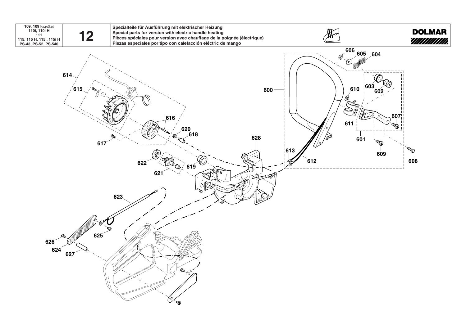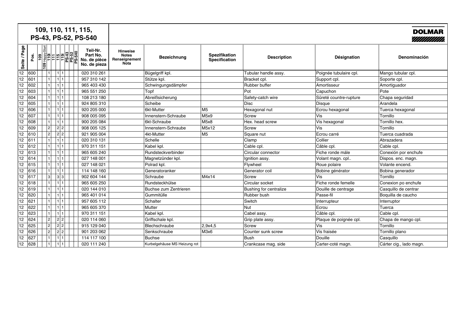|              |      | 109, 110, 111, 115,<br>PS-43, PS-52, PS-540 |                                                      |                                                                 |                              |                                |                        |                        | <b>DOLMAR</b><br>////////////// |
|--------------|------|---------------------------------------------|------------------------------------------------------|-----------------------------------------------------------------|------------------------------|--------------------------------|------------------------|------------------------|---------------------------------|
| Seite / Page | Pos. | ုံခဲ့                                       | Teil-Nr.<br>Part No.<br>No. de pièce<br>No. de pieza | <b>Hinweise</b><br><b>Notes</b><br>Renseignement<br><b>Nota</b> | <b>Bezeichnung</b>           | Spezifikation<br>Specification | <b>Description</b>     | Désignation            | Denominación                    |
| 12           | 600  | 1                                           | 020 310 261                                          |                                                                 | Bügelgriff kpl.              |                                | Tubular handle assy.   | Poignée tubulaire cpl. | Mango tubular cpl.              |
| 12           | 601  | 1                                           | 957 310 142                                          |                                                                 | Stütze kpl.                  |                                | Bracket cpl.           | Support cpl            | Soporte cpl.                    |
| 12           | 602  | 1                                           | 965 403 430                                          |                                                                 | Schwingungsdämpfer           |                                | Rubber buffer          | Amortisseur            | Amortiguador                    |
| 12           | 603  | 1                                           | 965 551 250                                          |                                                                 | Topf                         |                                | Pot                    | Capuchon               | Pote                            |
| 12           | 604  | 1 1                                         | 108 213 180                                          |                                                                 | Abreißsicherung              |                                | Safety-catch wire      | Sûreté countre-rupture | Chapa seguridad                 |
| 12           | 605  | $\mathbf{1}$                                | 924 805 310                                          |                                                                 | Scheibe                      |                                | <b>Disc</b>            | <b>Disque</b>          | Arandela                        |
| 12           | 606  |                                             | 920 205 000                                          |                                                                 | 6kt-Mutter                   | M5                             | Hexagonal nut          | Ecrou hexagonal        | Tuerca hexagonal                |
| 12           | 607  |                                             | 908 005 095                                          |                                                                 | Innenstern-Schraube          | M5x9                           | Screw                  | Vis                    | Tornillo                        |
| 12           | 608  |                                             | 900 205 084                                          |                                                                 | 6kt-Schraube                 | M <sub>5x8</sub>               | Hex. head screw        | Vis hexagonal          | Tornillo hex.                   |
| 12           | 609  | 2 2 <br>2                                   | 908 005 125                                          |                                                                 | Innenstern-Schraube          | M5x12                          | <b>Screw</b>           | Vis                    | Tornillo                        |
| 12           | 610  | $2\vert$<br> 2 2                            | 921 905 004                                          |                                                                 | 4kt-Mutter                   | M5                             | Square nut             | Ecrou carré            | Tuerca cuadrada                 |
| 12           | 611  | 1<br>$\vert$ 1                              | 020 310 131                                          |                                                                 | Schelle                      |                                | Clamp                  | Collier                | Abrazadera                      |
| 12           | 612  |                                             | 970 311 151                                          |                                                                 | Kabel kpl.                   |                                | Cable cpl.             | Câble cpl.             | Cable cpl.                      |
| 12           | 613  |                                             | 965 605 240                                          |                                                                 | Rundsteckverbinder           |                                | Circular connector     | Fiche ronde mále       | Conexión por enchufe            |
| 12           | 614  |                                             | 027 148 001                                          |                                                                 | Magnetzünder kpl.            |                                | Ignition assy.         | Volant magn. cpl       | Dispos. enc. magn.              |
| 12           | 615  |                                             | 027 148 021                                          |                                                                 | Polrad kpl.                  |                                | Flywheel               | Roue polaire           | Volante encend.                 |
| 12           | 616  |                                             | 114 148 160                                          |                                                                 | Generatoranker               |                                | Generator coil         | Bobine générator       | Bobina generador                |
| 12           | 617  | 3 3 <br>3                                   | 902 604 144                                          |                                                                 | Schraube                     | M4x14                          | Screw                  | Vis                    | Tornillo                        |
| 12           | 618  |                                             | 965 605 250                                          |                                                                 | Rundsteckhülse               |                                | Circular socket        | Fiche ronde femelle    | Conexion po enchufe             |
| 12           | 619  |                                             | 020 144 010                                          |                                                                 | Buchse zum Zentrieren        |                                | Bushing for centralize | Douille de centrage    | Casquillo de centrar            |
| 12           | 620  |                                             | 965 401 014                                          |                                                                 | Gummitülle                   |                                | Rubber bush            | Passe-fil              | Boquilla de caucho              |
| 12           | 621  |                                             | 957 605 112                                          |                                                                 | Schalter                     |                                | Switch                 | Interrupteur           | Interruptor                     |
| 12           | 622  |                                             | 965 605 370                                          |                                                                 | Mutter                       |                                | <b>Nut</b>             | Ecrou                  | Tuerca                          |
| 12           | 623  |                                             | 970 311 151                                          |                                                                 | Kabel kpl.                   |                                | Cabel assy.            | Câble cpl.             | Cable cpl.                      |
| 12           | 624  | 2 2 <br>2 <sup>1</sup>                      | 020 114 060                                          |                                                                 | Griffschale kpl.             |                                | Grip plate assy.       | Plaque de poignée cpl. | Chapa de mango cpl.             |
| 12           | 625  | 2<br> 2 2                                   | 915 129 040                                          |                                                                 | Blechschraube                | 2.9x4.5                        | <b>Screw</b>           | Vis                    | Tornillo                        |
| 12           | 626  | 2<br> 2 2                                   | 901 203 062                                          |                                                                 | Senkschraube                 | M3x6                           | Counter sunk screw     | Vis fraisée            | Tornillo plano                  |
| 12           | 627  |                                             | 114 117 100                                          |                                                                 | <b>Buchse</b>                |                                | <b>Bush</b>            | Douille                | Casquillo                       |
| 12           | 628  |                                             | 020 111 240                                          |                                                                 | Kurbelgehäuse MS Heizung rot |                                | Crankcase mag. side    | Carter-coté magn.      | Cárter cig., lado magn.         |